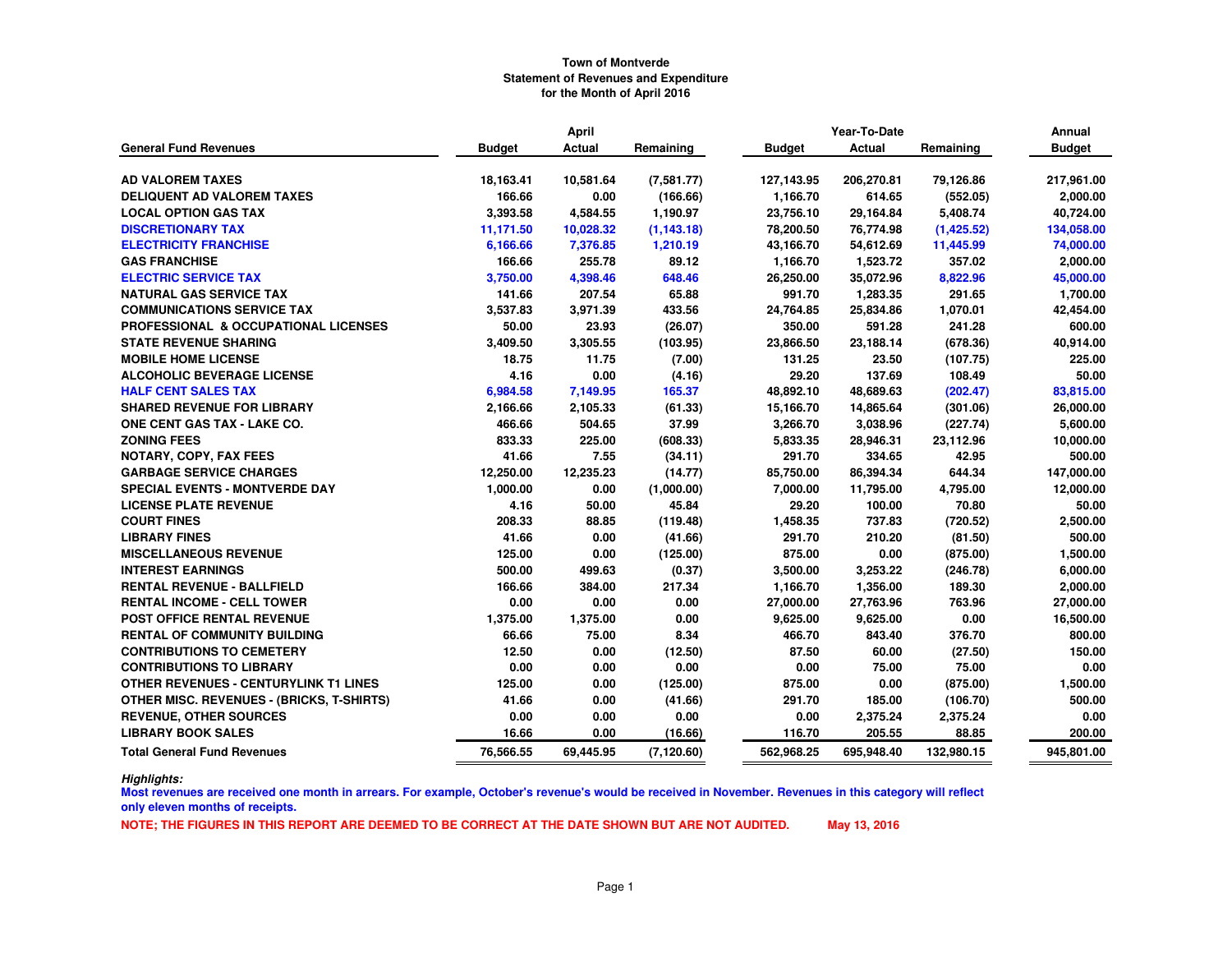|                                                  |               | <b>April</b> |             |               | Year-To-Date  |            | Annual        |
|--------------------------------------------------|---------------|--------------|-------------|---------------|---------------|------------|---------------|
| <b>General Fund Revenues</b>                     | <b>Budget</b> | Actual       | Remaining   | <b>Budget</b> | <b>Actual</b> | Remaining  | <b>Budget</b> |
| <b>AD VALOREM TAXES</b>                          | 18,163.41     | 10,581.64    | (7,581.77)  | 127, 143.95   | 206,270.81    | 79,126.86  | 217,961.00    |
| <b>DELIQUENT AD VALOREM TAXES</b>                | 166.66        | 0.00         | (166.66)    | 1,166.70      | 614.65        | (552.05)   | 2,000.00      |
| <b>LOCAL OPTION GAS TAX</b>                      | 3,393.58      | 4,584.55     | 1,190.97    | 23,756.10     | 29,164.84     | 5,408.74   | 40,724.00     |
| <b>DISCRETIONARY TAX</b>                         | 11,171.50     | 10,028.32    | (1, 143.18) | 78,200.50     | 76,774.98     | (1,425.52) | 134,058.00    |
| <b>ELECTRICITY FRANCHISE</b>                     | 6,166.66      | 7,376.85     | 1,210.19    | 43,166.70     | 54,612.69     | 11,445.99  | 74,000.00     |
| <b>GAS FRANCHISE</b>                             | 166.66        | 255.78       | 89.12       | 1,166.70      | 1,523.72      | 357.02     | 2,000.00      |
| <b>ELECTRIC SERVICE TAX</b>                      | 3,750.00      | 4,398.46     | 648.46      | 26,250.00     | 35,072.96     | 8,822.96   | 45,000.00     |
| <b>NATURAL GAS SERVICE TAX</b>                   | 141.66        | 207.54       | 65.88       | 991.70        | 1,283.35      | 291.65     | 1,700.00      |
| <b>COMMUNICATIONS SERVICE TAX</b>                | 3,537.83      | 3,971.39     | 433.56      | 24,764.85     | 25,834.86     | 1,070.01   | 42,454.00     |
| PROFESSIONAL & OCCUPATIONAL LICENSES             | 50.00         | 23.93        | (26.07)     | 350.00        | 591.28        | 241.28     | 600.00        |
| <b>STATE REVENUE SHARING</b>                     | 3,409.50      | 3,305.55     | (103.95)    | 23,866.50     | 23,188.14     | (678.36)   | 40,914.00     |
| <b>MOBILE HOME LICENSE</b>                       | 18.75         | 11.75        | (7.00)      | 131.25        | 23.50         | (107.75)   | 225.00        |
| <b>ALCOHOLIC BEVERAGE LICENSE</b>                | 4.16          | 0.00         | (4.16)      | 29.20         | 137.69        | 108.49     | 50.00         |
| <b>HALF CENT SALES TAX</b>                       | 6,984.58      | 7,149.95     | 165.37      | 48.892.10     | 48,689.63     | (202.47)   | 83,815.00     |
| <b>SHARED REVENUE FOR LIBRARY</b>                | 2,166.66      | 2,105.33     | (61.33)     | 15,166.70     | 14,865.64     | (301.06)   | 26,000.00     |
| ONE CENT GAS TAX - LAKE CO.                      | 466.66        | 504.65       | 37.99       | 3,266.70      | 3,038.96      | (227.74)   | 5,600.00      |
| <b>ZONING FEES</b>                               | 833.33        | 225.00       | (608.33)    | 5,833.35      | 28,946.31     | 23.112.96  | 10,000.00     |
| NOTARY, COPY, FAX FEES                           | 41.66         | 7.55         | (34.11)     | 291.70        | 334.65        | 42.95      | 500.00        |
| <b>GARBAGE SERVICE CHARGES</b>                   | 12,250.00     | 12,235.23    | (14.77)     | 85,750.00     | 86,394.34     | 644.34     | 147,000.00    |
| <b>SPECIAL EVENTS - MONTVERDE DAY</b>            | 1,000.00      | 0.00         | (1,000.00)  | 7,000.00      | 11,795.00     | 4,795.00   | 12,000.00     |
| <b>LICENSE PLATE REVENUE</b>                     | 4.16          | 50.00        | 45.84       | 29.20         | 100.00        | 70.80      | 50.00         |
| <b>COURT FINES</b>                               | 208.33        | 88.85        | (119.48)    | 1,458.35      | 737.83        | (720.52)   | 2,500.00      |
| <b>LIBRARY FINES</b>                             | 41.66         | 0.00         | (41.66)     | 291.70        | 210.20        | (81.50)    | 500.00        |
| <b>MISCELLANEOUS REVENUE</b>                     | 125.00        | 0.00         | (125.00)    | 875.00        | 0.00          | (875.00)   | 1,500.00      |
| <b>INTEREST EARNINGS</b>                         | 500.00        | 499.63       | (0.37)      | 3,500.00      | 3,253.22      | (246.78)   | 6,000.00      |
| <b>RENTAL REVENUE - BALLFIELD</b>                | 166.66        | 384.00       | 217.34      | 1,166.70      | 1,356.00      | 189.30     | 2,000.00      |
| <b>RENTAL INCOME - CELL TOWER</b>                | 0.00          | 0.00         | 0.00        | 27,000.00     | 27,763.96     | 763.96     | 27,000.00     |
| POST OFFICE RENTAL REVENUE                       | 1,375.00      | 1,375.00     | 0.00        | 9,625.00      | 9,625.00      | 0.00       | 16,500.00     |
| <b>RENTAL OF COMMUNITY BUILDING</b>              | 66.66         | 75.00        | 8.34        | 466.70        | 843.40        | 376.70     | 800.00        |
| <b>CONTRIBUTIONS TO CEMETERY</b>                 | 12.50         | 0.00         | (12.50)     | 87.50         | 60.00         | (27.50)    | 150.00        |
| <b>CONTRIBUTIONS TO LIBRARY</b>                  | 0.00          | 0.00         | 0.00        | 0.00          | 75.00         | 75.00      | 0.00          |
| <b>OTHER REVENUES - CENTURYLINK T1 LINES</b>     | 125.00        | 0.00         | (125.00)    | 875.00        | 0.00          | (875.00)   | 1,500.00      |
| <b>OTHER MISC. REVENUES - (BRICKS, T-SHIRTS)</b> | 41.66         | 0.00         | (41.66)     | 291.70        | 185.00        | (106.70)   | 500.00        |
| <b>REVENUE, OTHER SOURCES</b>                    | 0.00          | 0.00         | 0.00        | 0.00          | 2,375.24      | 2,375.24   | 0.00          |
| <b>LIBRARY BOOK SALES</b>                        | 16.66         | 0.00         | (16.66)     | 116.70        | 205.55        | 88.85      | 200.00        |
| <b>Total General Fund Revenues</b>               | 76,566.55     | 69,445.95    | (7, 120.60) | 562,968.25    | 695,948.40    | 132,980.15 | 945,801.00    |

*Highlights:*

 **Most revenues are received one month in arrears. For example, October's revenue's would be received in November. Revenues in this category will reflect only eleven months of receipts.**

**NOTE; THE FIGURES IN THIS REPORT ARE DEEMED TO BE CORRECT AT THE DATE SHOWN BUT ARE NOT AUDITED. May 13, 2016**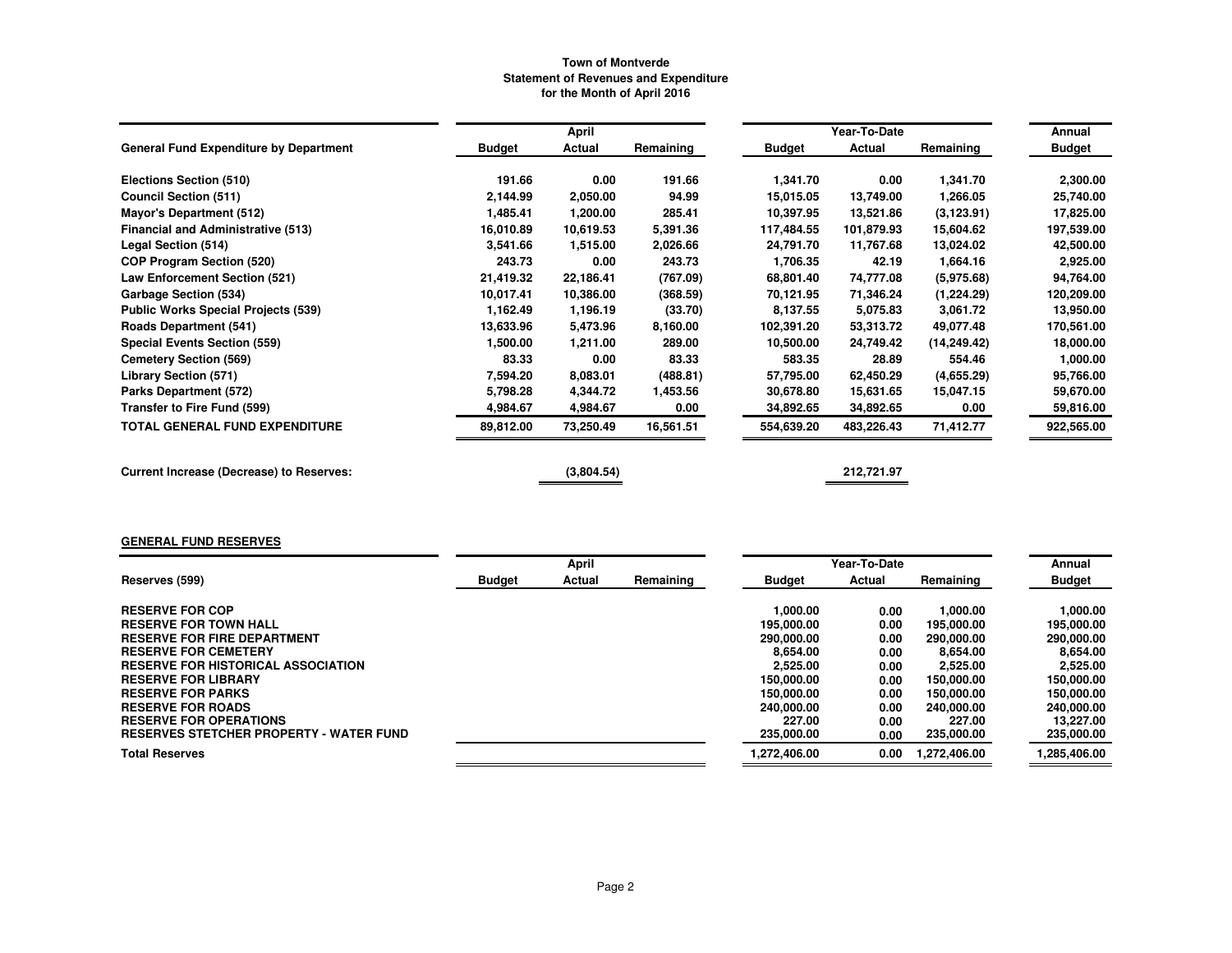|                                                 |               | April      |           |            | Year-To-Date |              | Annual        |
|-------------------------------------------------|---------------|------------|-----------|------------|--------------|--------------|---------------|
| <b>General Fund Expenditure by Department</b>   | <b>Budget</b> | Actual     | Remaining | Budget     | Actual       | Remaining    | <b>Budget</b> |
| Elections Section (510)                         | 191.66        | 0.00       | 191.66    | 1,341.70   | 0.00         | 1,341.70     | 2,300.00      |
| <b>Council Section (511)</b>                    | 2,144.99      | 2,050.00   | 94.99     | 15,015.05  | 13,749.00    | 1,266.05     | 25,740.00     |
| <b>Mayor's Department (512)</b>                 | 1,485.41      | 1,200.00   | 285.41    | 10,397.95  | 13,521.86    | (3, 123.91)  | 17,825.00     |
| <b>Financial and Administrative (513)</b>       | 16.010.89     | 10,619.53  | 5,391.36  | 117,484.55 | 101,879.93   | 15,604.62    | 197,539.00    |
| Legal Section (514)                             | 3,541.66      | 1,515.00   | 2,026.66  | 24,791.70  | 11,767.68    | 13,024.02    | 42,500.00     |
| <b>COP Program Section (520)</b>                | 243.73        | 0.00       | 243.73    | 1,706.35   | 42.19        | 1,664.16     | 2,925.00      |
| Law Enforcement Section (521)                   | 21,419.32     | 22,186.41  | (767.09)  | 68,801.40  | 74,777.08    | (5.975.68)   | 94,764.00     |
| Garbage Section (534)                           | 10.017.41     | 10,386.00  | (368.59)  | 70,121.95  | 71,346.24    | (1,224.29)   | 120,209.00    |
| <b>Public Works Special Projects (539)</b>      | 1,162.49      | 1,196.19   | (33.70)   | 8.137.55   | 5,075.83     | 3,061.72     | 13,950.00     |
| <b>Roads Department (541)</b>                   | 13,633.96     | 5,473.96   | 8,160.00  | 102,391.20 | 53,313.72    | 49,077.48    | 170,561.00    |
| <b>Special Events Section (559)</b>             | 1,500.00      | 1,211.00   | 289.00    | 10,500.00  | 24,749.42    | (14, 249.42) | 18,000.00     |
| <b>Cemetery Section (569)</b>                   | 83.33         | 0.00       | 83.33     | 583.35     | 28.89        | 554.46       | 1,000.00      |
| <b>Library Section (571)</b>                    | 7,594.20      | 8,083.01   | (488.81)  | 57,795.00  | 62,450.29    | (4,655.29)   | 95,766.00     |
| Parks Department (572)                          | 5,798.28      | 4,344.72   | 1,453.56  | 30,678.80  | 15,631.65    | 15,047.15    | 59,670.00     |
| Transfer to Fire Fund (599)                     | 4,984.67      | 4,984.67   | 0.00      | 34,892.65  | 34,892.65    | 0.00         | 59,816.00     |
| TOTAL GENERAL FUND EXPENDITURE                  | 89,812.00     | 73,250.49  | 16,561.51 | 554,639.20 | 483,226.43   | 71,412.77    | 922,565.00    |
| <b>Current Increase (Decrease) to Reserves:</b> |               | (3,804.54) |           |            | 212,721.97   |              |               |

# **GENERAL FUND RESERVES**

|                                                |               | April  |           |               | Year-To-Date |              | Annual        |
|------------------------------------------------|---------------|--------|-----------|---------------|--------------|--------------|---------------|
| Reserves (599)                                 | <b>Budget</b> | Actual | Remaining | <b>Budget</b> | Actual       | Remaining    | <b>Budget</b> |
|                                                |               |        |           |               |              |              |               |
| <b>RESERVE FOR COP</b>                         |               |        |           | 1.000.00      | 0.00         | 1.000.00     | 1.000.00      |
| <b>RESERVE FOR TOWN HALL</b>                   |               |        |           | 195,000.00    | 0.00         | 195,000.00   | 195,000.00    |
| <b>RESERVE FOR FIRE DEPARTMENT</b>             |               |        |           | 290,000,00    | 0.00         | 290,000.00   | 290,000.00    |
| <b>RESERVE FOR CEMETERY</b>                    |               |        |           | 8.654.00      | 0.00         | 8.654.00     | 8.654.00      |
| <b>RESERVE FOR HISTORICAL ASSOCIATION</b>      |               |        |           | 2.525.00      | 0.00         | 2,525.00     | 2,525.00      |
| <b>RESERVE FOR LIBRARY</b>                     |               |        |           | 150.000.00    | 0.00         | 150,000,00   | 150.000.00    |
| <b>RESERVE FOR PARKS</b>                       |               |        |           | 150.000.00    | 0.00         | 150,000,00   | 150.000.00    |
| <b>RESERVE FOR ROADS</b>                       |               |        |           | 240,000.00    | 0.00         | 240,000,00   | 240.000.00    |
| <b>RESERVE FOR OPERATIONS</b>                  |               |        |           | 227.00        | 0.00         | 227.00       | 13.227.00     |
| <b>RESERVES STETCHER PROPERTY - WATER FUND</b> |               |        |           | 235,000.00    | 0.00         | 235,000.00   | 235,000.00    |
| <b>Total Reserves</b>                          |               |        |           | 1.272.406.00  | 0.00         | 1.272.406.00 | 1,285,406.00  |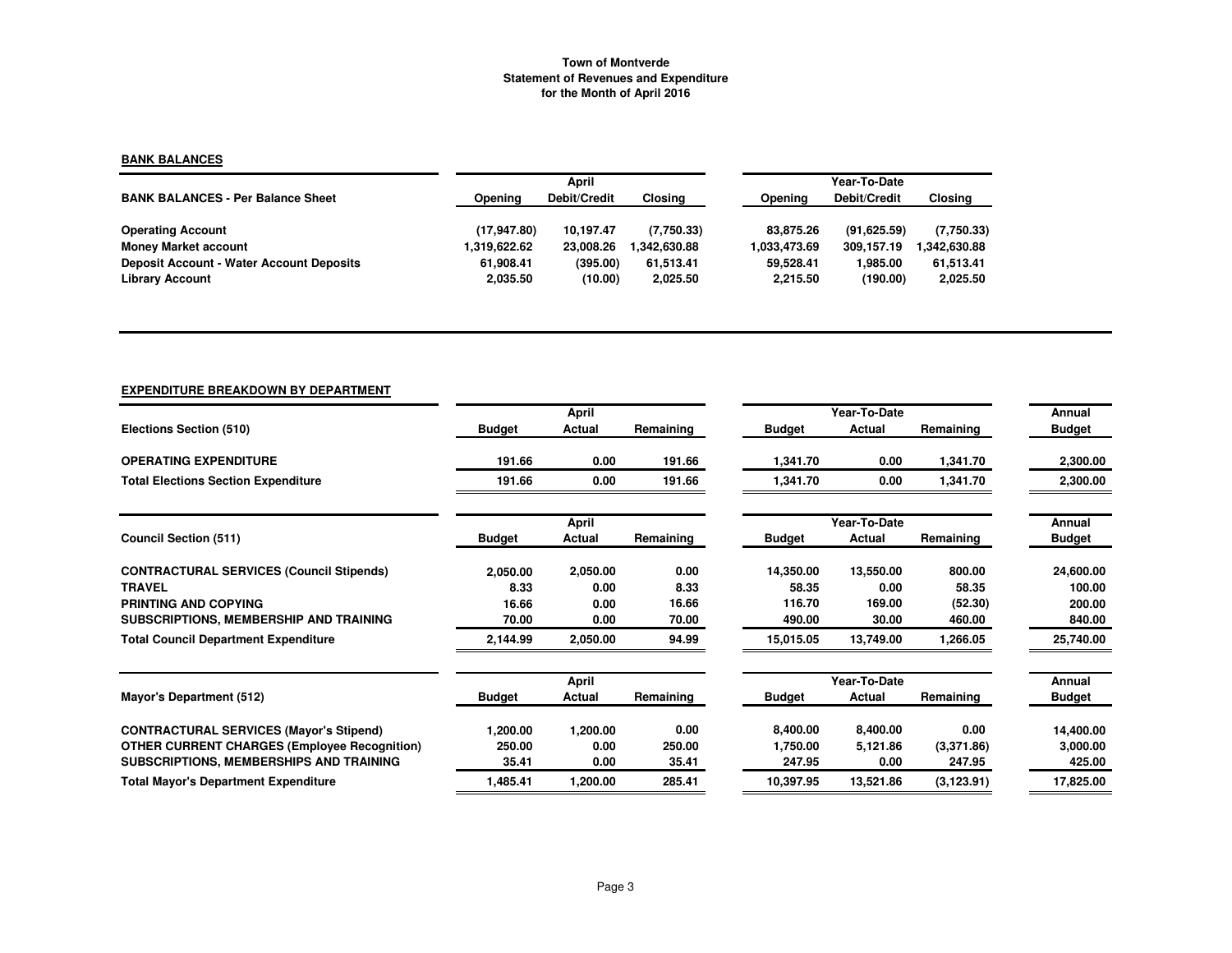### **BANK BALANCES**

|                                                 |              | April        |              |              | Year-To-Date |                |  |  |
|-------------------------------------------------|--------------|--------------|--------------|--------------|--------------|----------------|--|--|
| <b>BANK BALANCES - Per Balance Sheet</b>        | Opening      | Debit/Credit | Closing      | Opening      | Debit/Credit | <b>Closing</b> |  |  |
| <b>Operating Account</b>                        | (17.947.80)  | 10.197.47    | (7.750.33)   | 83.875.26    | (91.625.59)  | (7,750.33)     |  |  |
| <b>Money Market account</b>                     | 1,319,622.62 | 23,008.26    | 1.342.630.88 | 1.033.473.69 | 309.157.19   | .342,630.88    |  |  |
| <b>Deposit Account - Water Account Deposits</b> | 61.908.41    | (395.00)     | 61.513.41    | 59.528.41    | 1.985.00     | 61,513.41      |  |  |
| <b>Library Account</b>                          | 2,035.50     | (10.00)      | 2,025.50     | 2.215.50     | (190.00)     | 2,025.50       |  |  |

# **EXPENDITURE BREAKDOWN BY DEPARTMENT**

|                                                     |               | April        |           |               | Year-To-Date |             | Annual        |
|-----------------------------------------------------|---------------|--------------|-----------|---------------|--------------|-------------|---------------|
| Elections Section (510)                             | <b>Budget</b> | Actual       | Remaining | <b>Budget</b> | Actual       | Remaining   | <b>Budget</b> |
| <b>OPERATING EXPENDITURE</b>                        | 191.66        | 0.00         | 191.66    | 1,341.70      | 0.00         | 1,341.70    | 2,300.00      |
| <b>Total Elections Section Expenditure</b>          | 191.66        | 0.00         | 191.66    | 1,341.70      | 0.00         | 1,341.70    | 2,300.00      |
|                                                     |               | <b>April</b> |           |               | Year-To-Date |             | Annual        |
| <b>Council Section (511)</b>                        | <b>Budget</b> | Actual       | Remaining | <b>Budget</b> | Actual       | Remaining   | <b>Budget</b> |
| <b>CONTRACTURAL SERVICES (Council Stipends)</b>     | 2,050.00      | 2,050.00     | 0.00      | 14,350.00     | 13,550.00    | 800.00      | 24,600.00     |
| <b>TRAVEL</b>                                       | 8.33          | 0.00         | 8.33      | 58.35         | 0.00         | 58.35       | 100.00        |
| PRINTING AND COPYING                                | 16.66         | 0.00         | 16.66     | 116.70        | 169.00       | (52.30)     | 200.00        |
| SUBSCRIPTIONS, MEMBERSHIP AND TRAINING              | 70.00         | 0.00         | 70.00     | 490.00        | 30.00        | 460.00      | 840.00        |
| <b>Total Council Department Expenditure</b>         | 2,144.99      | 2,050.00     | 94.99     | 15,015.05     | 13,749.00    | 1,266.05    | 25,740.00     |
|                                                     |               | April        |           |               | Year-To-Date |             | Annual        |
| Mayor's Department (512)                            | <b>Budget</b> | Actual       | Remaining | <b>Budget</b> | Actual       | Remaining   | <b>Budget</b> |
| <b>CONTRACTURAL SERVICES (Mayor's Stipend)</b>      | 1,200.00      | 1,200.00     | 0.00      | 8,400.00      | 8,400.00     | 0.00        | 14,400.00     |
| <b>OTHER CURRENT CHARGES (Employee Recognition)</b> | 250.00        | 0.00         | 250.00    | 1,750.00      | 5,121.86     | (3,371.86)  | 3,000.00      |
| SUBSCRIPTIONS, MEMBERSHIPS AND TRAINING             | 35.41         | 0.00         | 35.41     | 247.95        | 0.00         | 247.95      | 425.00        |
| <b>Total Mayor's Department Expenditure</b>         | 1,485.41      | 1,200.00     | 285.41    | 10.397.95     | 13,521.86    | (3, 123.91) | 17,825.00     |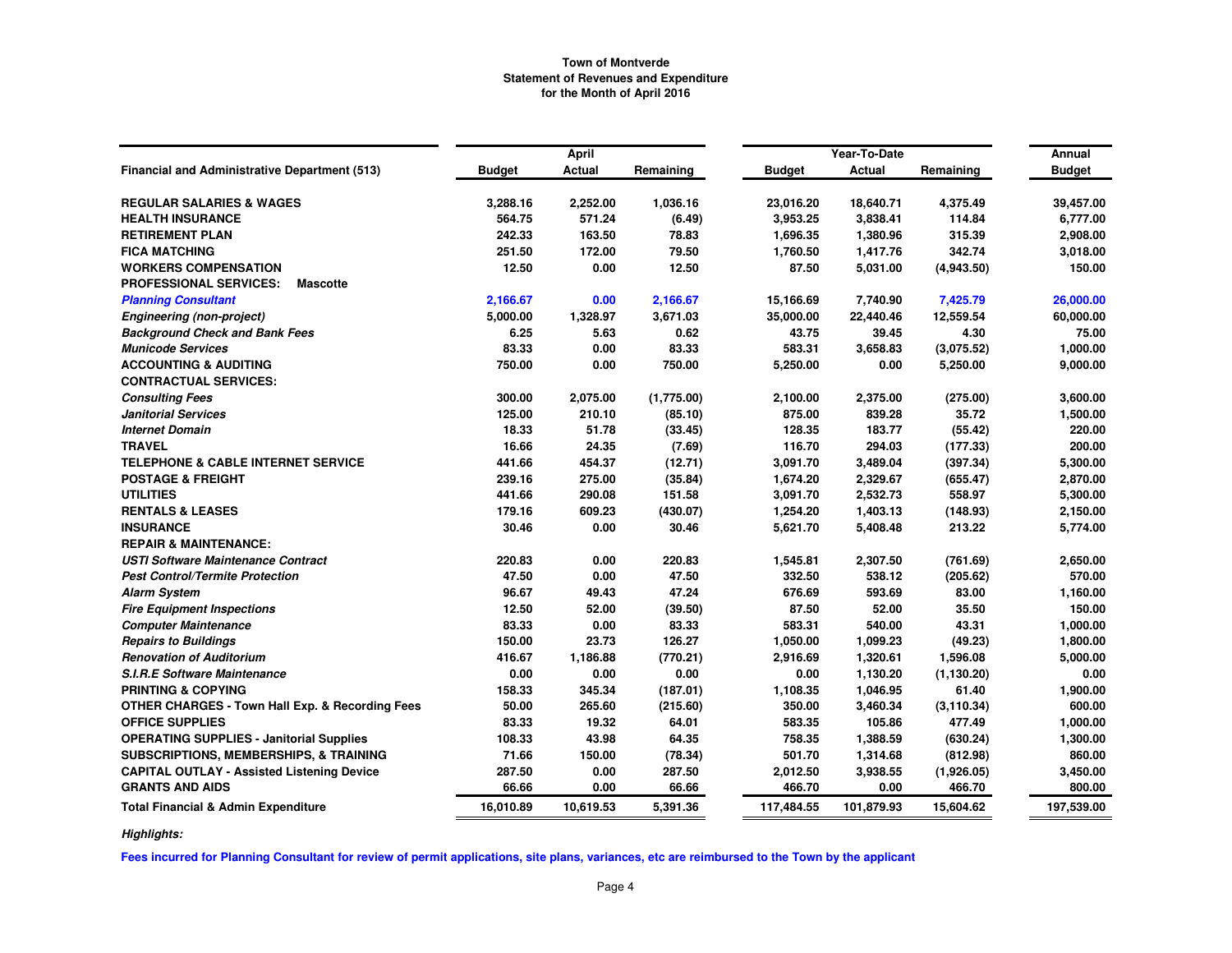|                                                            |               | April         |            |               | Year-To-Date  |             | Annual        |
|------------------------------------------------------------|---------------|---------------|------------|---------------|---------------|-------------|---------------|
| <b>Financial and Administrative Department (513)</b>       | <b>Budget</b> | <b>Actual</b> | Remaining  | <b>Budget</b> | <b>Actual</b> | Remaining   | <b>Budget</b> |
| <b>REGULAR SALARIES &amp; WAGES</b>                        | 3,288.16      | 2,252.00      | 1,036.16   | 23,016.20     | 18,640.71     | 4,375.49    | 39,457.00     |
| <b>HEALTH INSURANCE</b>                                    | 564.75        | 571.24        | (6.49)     | 3,953.25      | 3,838.41      | 114.84      | 6,777.00      |
| <b>RETIREMENT PLAN</b>                                     | 242.33        | 163.50        | 78.83      | 1,696.35      | 1,380.96      | 315.39      | 2,908.00      |
| <b>FICA MATCHING</b>                                       | 251.50        | 172.00        | 79.50      | 1,760.50      | 1,417.76      | 342.74      | 3,018.00      |
| <b>WORKERS COMPENSATION</b>                                | 12.50         | 0.00          | 12.50      | 87.50         | 5,031.00      | (4,943.50)  | 150.00        |
| <b>PROFESSIONAL SERVICES:</b><br><b>Mascotte</b>           |               |               |            |               |               |             |               |
| <b>Planning Consultant</b>                                 | 2,166.67      | 0.00          | 2,166.67   | 15,166.69     | 7,740.90      | 7,425.79    | 26,000.00     |
| <b>Engineering (non-project)</b>                           | 5,000.00      | 1,328.97      | 3,671.03   | 35,000.00     | 22,440.46     | 12,559.54   | 60,000.00     |
| <b>Background Check and Bank Fees</b>                      | 6.25          | 5.63          | 0.62       | 43.75         | 39.45         | 4.30        | 75.00         |
| <b>Municode Services</b>                                   | 83.33         | 0.00          | 83.33      | 583.31        | 3,658.83      | (3,075.52)  | 1,000.00      |
| <b>ACCOUNTING &amp; AUDITING</b>                           | 750.00        | 0.00          | 750.00     | 5,250.00      | 0.00          | 5,250.00    | 9,000.00      |
| <b>CONTRACTUAL SERVICES:</b>                               |               |               |            |               |               |             |               |
| <b>Consulting Fees</b>                                     | 300.00        | 2,075.00      | (1,775.00) | 2,100.00      | 2,375.00      | (275.00)    | 3,600.00      |
| <b>Janitorial Services</b>                                 | 125.00        | 210.10        | (85.10)    | 875.00        | 839.28        | 35.72       | 1,500.00      |
| <b>Internet Domain</b>                                     | 18.33         | 51.78         | (33.45)    | 128.35        | 183.77        | (55.42)     | 220.00        |
| <b>TRAVEL</b>                                              | 16.66         | 24.35         | (7.69)     | 116.70        | 294.03        | (177.33)    | 200.00        |
| <b>TELEPHONE &amp; CABLE INTERNET SERVICE</b>              | 441.66        | 454.37        | (12.71)    | 3,091.70      | 3,489.04      | (397.34)    | 5,300.00      |
| <b>POSTAGE &amp; FREIGHT</b>                               | 239.16        | 275.00        | (35.84)    | 1,674.20      | 2,329.67      | (655.47)    | 2,870.00      |
| <b>UTILITIES</b>                                           | 441.66        | 290.08        | 151.58     | 3,091.70      | 2,532.73      | 558.97      | 5,300.00      |
| <b>RENTALS &amp; LEASES</b>                                | 179.16        | 609.23        | (430.07)   | 1,254.20      | 1,403.13      | (148.93)    | 2,150.00      |
| <b>INSURANCE</b>                                           | 30.46         | 0.00          | 30.46      | 5,621.70      | 5,408.48      | 213.22      | 5,774.00      |
| <b>REPAIR &amp; MAINTENANCE:</b>                           |               |               |            |               |               |             |               |
| <b>USTI Software Maintenance Contract</b>                  | 220.83        | 0.00          | 220.83     | 1,545.81      | 2,307.50      | (761.69)    | 2,650.00      |
| <b>Pest Control/Termite Protection</b>                     | 47.50         | 0.00          | 47.50      | 332.50        | 538.12        | (205.62)    | 570.00        |
| <b>Alarm System</b>                                        | 96.67         | 49.43         | 47.24      | 676.69        | 593.69        | 83.00       | 1,160.00      |
| <b>Fire Equipment Inspections</b>                          | 12.50         | 52.00         | (39.50)    | 87.50         | 52.00         | 35.50       | 150.00        |
| <b>Computer Maintenance</b>                                | 83.33         | 0.00          | 83.33      | 583.31        | 540.00        | 43.31       | 1,000.00      |
| <b>Repairs to Buildings</b>                                | 150.00        | 23.73         | 126.27     | 1,050.00      | 1,099.23      | (49.23)     | 1,800.00      |
| <b>Renovation of Auditorium</b>                            | 416.67        | 1,186.88      | (770.21)   | 2,916.69      | 1,320.61      | 1,596.08    | 5,000.00      |
| <b>S.I.R.E Software Maintenance</b>                        | 0.00          | 0.00          | 0.00       | 0.00          | 1,130.20      | (1, 130.20) | 0.00          |
| <b>PRINTING &amp; COPYING</b>                              | 158.33        | 345.34        | (187.01)   | 1,108.35      | 1,046.95      | 61.40       | 1,900.00      |
| <b>OTHER CHARGES - Town Hall Exp. &amp; Recording Fees</b> | 50.00         | 265.60        | (215.60)   | 350.00        | 3,460.34      | (3, 110.34) | 600.00        |
| <b>OFFICE SUPPLIES</b>                                     | 83.33         | 19.32         | 64.01      | 583.35        | 105.86        | 477.49      | 1,000.00      |
| <b>OPERATING SUPPLIES - Janitorial Supplies</b>            | 108.33        | 43.98         | 64.35      | 758.35        | 1,388.59      | (630.24)    | 1,300.00      |
| SUBSCRIPTIONS, MEMBERSHIPS, & TRAINING                     | 71.66         | 150.00        | (78.34)    | 501.70        | 1,314.68      | (812.98)    | 860.00        |
| <b>CAPITAL OUTLAY - Assisted Listening Device</b>          | 287.50        | 0.00          | 287.50     | 2,012.50      | 3,938.55      | (1,926.05)  | 3,450.00      |
| <b>GRANTS AND AIDS</b>                                     | 66.66         | 0.00          | 66.66      | 466.70        | 0.00          | 466.70      | 800.00        |
| <b>Total Financial &amp; Admin Expenditure</b>             | 16,010.89     | 10.619.53     | 5,391.36   | 117,484.55    | 101,879.93    | 15,604.62   | 197,539.00    |

*Highlights:*

**Fees incurred for Planning Consultant for review of permit applications, site plans, variances, etc are reimbursed to the Town by the applicant**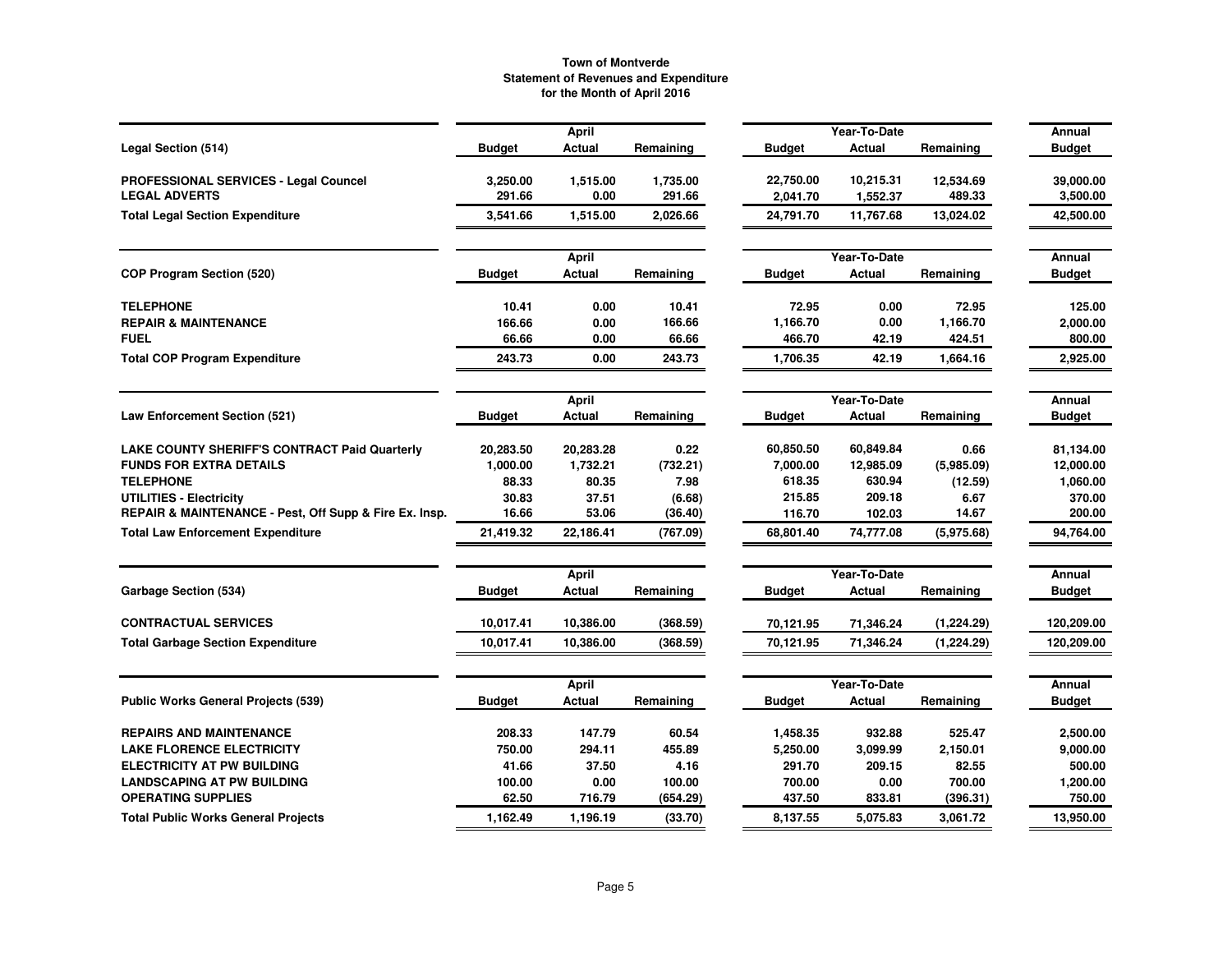| Year-To-Date<br>April<br>Annual<br>Legal Section (514)<br><b>Budget</b><br>Actual<br>Remaining<br>Actual<br><b>Budget</b><br><b>Budget</b><br>Remaining<br>PROFESSIONAL SERVICES - Legal Councel<br>3,250.00<br>1,515.00<br>1,735.00<br>22,750.00<br>10,215.31<br>12,534.69<br>39,000.00<br>291.66<br>291.66<br>489.33<br><b>LEGAL ADVERTS</b><br>0.00<br>3,500.00<br>2,041.70<br>1,552.37<br><b>Total Legal Section Expenditure</b><br>3,541.66<br>1,515.00<br>2,026.66<br>24,791.70<br>11,767.68<br>13,024.02<br>42,500.00<br>Year-To-Date<br>Annual<br><b>April</b><br><b>COP Program Section (520)</b><br>Actual<br>Remaining<br>Actual<br>Remaining<br><b>Budget</b><br>Budget<br>Budget<br><b>TELEPHONE</b><br>10.41<br>0.00<br>10.41<br>72.95<br>0.00<br>72.95<br>125.00<br>166.66<br>1,166.70<br>0.00<br>1,166.70<br><b>REPAIR &amp; MAINTENANCE</b><br>166.66<br>0.00<br>2,000.00<br>66.66<br><b>FUEL</b><br>0.00<br>800.00<br>66.66<br>466.70<br>42.19<br>424.51<br><b>Total COP Program Expenditure</b><br>243.73<br>1,706.35<br>0.00<br>243.73<br>42.19<br>1,664.16<br>2,925.00<br>Year-To-Date<br><b>April</b><br>Annual<br><b>Law Enforcement Section (521)</b><br>Actual<br><b>Budget</b><br>Actual<br><b>Budget</b><br>Budget<br>Remaining<br>Remaining<br><b>LAKE COUNTY SHERIFF'S CONTRACT Paid Quarterly</b><br>0.22<br>60,850.50<br>60,849.84<br>0.66<br>20,283.50<br>20,283.28<br>81,134.00<br>7,000.00<br>12,985.09<br><b>FUNDS FOR EXTRA DETAILS</b><br>1,000.00<br>1,732.21<br>(732.21)<br>(5.985.09)<br>12,000.00<br><b>TELEPHONE</b><br>7.98<br>618.35<br>630.94<br>88.33<br>80.35<br>(12.59)<br>1,060.00<br>215.85<br>209.18<br>30.83<br>37.51<br>6.67<br>370.00<br>UTILITIES - Electricity<br>(6.68)<br>REPAIR & MAINTENANCE - Pest, Off Supp & Fire Ex. Insp.<br>16.66<br>53.06<br>(36.40)<br>14.67<br>200.00<br>116.70<br>102.03<br>94,764.00<br><b>Total Law Enforcement Expenditure</b><br>21,419.32<br>22,186.41<br>68,801.40<br>74,777.08<br>(5,975.68)<br>(767.09)<br>Year-To-Date<br><b>April</b><br>Annual<br>Garbage Section (534)<br>Actual<br>Remaining<br><b>Budget</b><br>Actual<br>Remaining<br><b>Budget</b><br>Budget<br><b>CONTRACTUAL SERVICES</b><br>10,017.41<br>10,386.00<br>(368.59)<br>(1, 224.29)<br>120,209.00<br>70,121.95<br>71,346.24<br><b>Total Garbage Section Expenditure</b><br>10,017.41<br>10,386.00<br>(368.59)<br>70,121.95<br>71,346.24<br>120,209.00<br>(1,224.29)<br>Year-To-Date<br>Annual<br><b>April</b><br><b>Public Works General Projects (539)</b><br>Actual<br>Remaining<br><b>Budget</b><br>Actual<br>Remaining<br><b>Budget</b><br>Budget<br>147.79<br><b>REPAIRS AND MAINTENANCE</b><br>208.33<br>60.54<br>1,458.35<br>932.88<br>525.47<br>2,500.00<br>455.89<br><b>LAKE FLORENCE ELECTRICITY</b><br>750.00<br>294.11<br>5,250.00<br>3,099.99<br>2,150.01<br>9,000.00<br>37.50<br>291.70<br>209.15<br><b>ELECTRICITY AT PW BUILDING</b><br>41.66<br>4.16<br>82.55<br>500.00<br><b>LANDSCAPING AT PW BUILDING</b><br>100.00<br>0.00<br>100.00<br>700.00<br>0.00<br>700.00<br>1,200.00<br>62.50<br>437.50<br><b>OPERATING SUPPLIES</b><br>716.79<br>(654.29)<br>833.81<br>(396.31)<br>750.00<br>13,950.00<br><b>Total Public Works General Projects</b><br>1,162.49<br>1,196.19<br>(33.70)<br>8.137.55<br>5,075.83<br>3,061.72 |  |  |  |  |  |
|--------------------------------------------------------------------------------------------------------------------------------------------------------------------------------------------------------------------------------------------------------------------------------------------------------------------------------------------------------------------------------------------------------------------------------------------------------------------------------------------------------------------------------------------------------------------------------------------------------------------------------------------------------------------------------------------------------------------------------------------------------------------------------------------------------------------------------------------------------------------------------------------------------------------------------------------------------------------------------------------------------------------------------------------------------------------------------------------------------------------------------------------------------------------------------------------------------------------------------------------------------------------------------------------------------------------------------------------------------------------------------------------------------------------------------------------------------------------------------------------------------------------------------------------------------------------------------------------------------------------------------------------------------------------------------------------------------------------------------------------------------------------------------------------------------------------------------------------------------------------------------------------------------------------------------------------------------------------------------------------------------------------------------------------------------------------------------------------------------------------------------------------------------------------------------------------------------------------------------------------------------------------------------------------------------------------------------------------------------------------------------------------------------------------------------------------------------------------------------------------------------------------------------------------------------------------------------------------------------------------------------------------------------------------------------------------------------------------------------------------------------------------------------------------------------------------------------------------------------------------------------------------------------------------------------------------------------------------------------------------------------------------------------------------------------------------------------------------------------------------------------------------------------------------------------------------------------------------------------------------------------------------------------------------------------------|--|--|--|--|--|
|                                                                                                                                                                                                                                                                                                                                                                                                                                                                                                                                                                                                                                                                                                                                                                                                                                                                                                                                                                                                                                                                                                                                                                                                                                                                                                                                                                                                                                                                                                                                                                                                                                                                                                                                                                                                                                                                                                                                                                                                                                                                                                                                                                                                                                                                                                                                                                                                                                                                                                                                                                                                                                                                                                                                                                                                                                                                                                                                                                                                                                                                                                                                                                                                                                                                                                              |  |  |  |  |  |
|                                                                                                                                                                                                                                                                                                                                                                                                                                                                                                                                                                                                                                                                                                                                                                                                                                                                                                                                                                                                                                                                                                                                                                                                                                                                                                                                                                                                                                                                                                                                                                                                                                                                                                                                                                                                                                                                                                                                                                                                                                                                                                                                                                                                                                                                                                                                                                                                                                                                                                                                                                                                                                                                                                                                                                                                                                                                                                                                                                                                                                                                                                                                                                                                                                                                                                              |  |  |  |  |  |
|                                                                                                                                                                                                                                                                                                                                                                                                                                                                                                                                                                                                                                                                                                                                                                                                                                                                                                                                                                                                                                                                                                                                                                                                                                                                                                                                                                                                                                                                                                                                                                                                                                                                                                                                                                                                                                                                                                                                                                                                                                                                                                                                                                                                                                                                                                                                                                                                                                                                                                                                                                                                                                                                                                                                                                                                                                                                                                                                                                                                                                                                                                                                                                                                                                                                                                              |  |  |  |  |  |
|                                                                                                                                                                                                                                                                                                                                                                                                                                                                                                                                                                                                                                                                                                                                                                                                                                                                                                                                                                                                                                                                                                                                                                                                                                                                                                                                                                                                                                                                                                                                                                                                                                                                                                                                                                                                                                                                                                                                                                                                                                                                                                                                                                                                                                                                                                                                                                                                                                                                                                                                                                                                                                                                                                                                                                                                                                                                                                                                                                                                                                                                                                                                                                                                                                                                                                              |  |  |  |  |  |
|                                                                                                                                                                                                                                                                                                                                                                                                                                                                                                                                                                                                                                                                                                                                                                                                                                                                                                                                                                                                                                                                                                                                                                                                                                                                                                                                                                                                                                                                                                                                                                                                                                                                                                                                                                                                                                                                                                                                                                                                                                                                                                                                                                                                                                                                                                                                                                                                                                                                                                                                                                                                                                                                                                                                                                                                                                                                                                                                                                                                                                                                                                                                                                                                                                                                                                              |  |  |  |  |  |
|                                                                                                                                                                                                                                                                                                                                                                                                                                                                                                                                                                                                                                                                                                                                                                                                                                                                                                                                                                                                                                                                                                                                                                                                                                                                                                                                                                                                                                                                                                                                                                                                                                                                                                                                                                                                                                                                                                                                                                                                                                                                                                                                                                                                                                                                                                                                                                                                                                                                                                                                                                                                                                                                                                                                                                                                                                                                                                                                                                                                                                                                                                                                                                                                                                                                                                              |  |  |  |  |  |
|                                                                                                                                                                                                                                                                                                                                                                                                                                                                                                                                                                                                                                                                                                                                                                                                                                                                                                                                                                                                                                                                                                                                                                                                                                                                                                                                                                                                                                                                                                                                                                                                                                                                                                                                                                                                                                                                                                                                                                                                                                                                                                                                                                                                                                                                                                                                                                                                                                                                                                                                                                                                                                                                                                                                                                                                                                                                                                                                                                                                                                                                                                                                                                                                                                                                                                              |  |  |  |  |  |
|                                                                                                                                                                                                                                                                                                                                                                                                                                                                                                                                                                                                                                                                                                                                                                                                                                                                                                                                                                                                                                                                                                                                                                                                                                                                                                                                                                                                                                                                                                                                                                                                                                                                                                                                                                                                                                                                                                                                                                                                                                                                                                                                                                                                                                                                                                                                                                                                                                                                                                                                                                                                                                                                                                                                                                                                                                                                                                                                                                                                                                                                                                                                                                                                                                                                                                              |  |  |  |  |  |
|                                                                                                                                                                                                                                                                                                                                                                                                                                                                                                                                                                                                                                                                                                                                                                                                                                                                                                                                                                                                                                                                                                                                                                                                                                                                                                                                                                                                                                                                                                                                                                                                                                                                                                                                                                                                                                                                                                                                                                                                                                                                                                                                                                                                                                                                                                                                                                                                                                                                                                                                                                                                                                                                                                                                                                                                                                                                                                                                                                                                                                                                                                                                                                                                                                                                                                              |  |  |  |  |  |
|                                                                                                                                                                                                                                                                                                                                                                                                                                                                                                                                                                                                                                                                                                                                                                                                                                                                                                                                                                                                                                                                                                                                                                                                                                                                                                                                                                                                                                                                                                                                                                                                                                                                                                                                                                                                                                                                                                                                                                                                                                                                                                                                                                                                                                                                                                                                                                                                                                                                                                                                                                                                                                                                                                                                                                                                                                                                                                                                                                                                                                                                                                                                                                                                                                                                                                              |  |  |  |  |  |
|                                                                                                                                                                                                                                                                                                                                                                                                                                                                                                                                                                                                                                                                                                                                                                                                                                                                                                                                                                                                                                                                                                                                                                                                                                                                                                                                                                                                                                                                                                                                                                                                                                                                                                                                                                                                                                                                                                                                                                                                                                                                                                                                                                                                                                                                                                                                                                                                                                                                                                                                                                                                                                                                                                                                                                                                                                                                                                                                                                                                                                                                                                                                                                                                                                                                                                              |  |  |  |  |  |
|                                                                                                                                                                                                                                                                                                                                                                                                                                                                                                                                                                                                                                                                                                                                                                                                                                                                                                                                                                                                                                                                                                                                                                                                                                                                                                                                                                                                                                                                                                                                                                                                                                                                                                                                                                                                                                                                                                                                                                                                                                                                                                                                                                                                                                                                                                                                                                                                                                                                                                                                                                                                                                                                                                                                                                                                                                                                                                                                                                                                                                                                                                                                                                                                                                                                                                              |  |  |  |  |  |
|                                                                                                                                                                                                                                                                                                                                                                                                                                                                                                                                                                                                                                                                                                                                                                                                                                                                                                                                                                                                                                                                                                                                                                                                                                                                                                                                                                                                                                                                                                                                                                                                                                                                                                                                                                                                                                                                                                                                                                                                                                                                                                                                                                                                                                                                                                                                                                                                                                                                                                                                                                                                                                                                                                                                                                                                                                                                                                                                                                                                                                                                                                                                                                                                                                                                                                              |  |  |  |  |  |
|                                                                                                                                                                                                                                                                                                                                                                                                                                                                                                                                                                                                                                                                                                                                                                                                                                                                                                                                                                                                                                                                                                                                                                                                                                                                                                                                                                                                                                                                                                                                                                                                                                                                                                                                                                                                                                                                                                                                                                                                                                                                                                                                                                                                                                                                                                                                                                                                                                                                                                                                                                                                                                                                                                                                                                                                                                                                                                                                                                                                                                                                                                                                                                                                                                                                                                              |  |  |  |  |  |
|                                                                                                                                                                                                                                                                                                                                                                                                                                                                                                                                                                                                                                                                                                                                                                                                                                                                                                                                                                                                                                                                                                                                                                                                                                                                                                                                                                                                                                                                                                                                                                                                                                                                                                                                                                                                                                                                                                                                                                                                                                                                                                                                                                                                                                                                                                                                                                                                                                                                                                                                                                                                                                                                                                                                                                                                                                                                                                                                                                                                                                                                                                                                                                                                                                                                                                              |  |  |  |  |  |
|                                                                                                                                                                                                                                                                                                                                                                                                                                                                                                                                                                                                                                                                                                                                                                                                                                                                                                                                                                                                                                                                                                                                                                                                                                                                                                                                                                                                                                                                                                                                                                                                                                                                                                                                                                                                                                                                                                                                                                                                                                                                                                                                                                                                                                                                                                                                                                                                                                                                                                                                                                                                                                                                                                                                                                                                                                                                                                                                                                                                                                                                                                                                                                                                                                                                                                              |  |  |  |  |  |
|                                                                                                                                                                                                                                                                                                                                                                                                                                                                                                                                                                                                                                                                                                                                                                                                                                                                                                                                                                                                                                                                                                                                                                                                                                                                                                                                                                                                                                                                                                                                                                                                                                                                                                                                                                                                                                                                                                                                                                                                                                                                                                                                                                                                                                                                                                                                                                                                                                                                                                                                                                                                                                                                                                                                                                                                                                                                                                                                                                                                                                                                                                                                                                                                                                                                                                              |  |  |  |  |  |
|                                                                                                                                                                                                                                                                                                                                                                                                                                                                                                                                                                                                                                                                                                                                                                                                                                                                                                                                                                                                                                                                                                                                                                                                                                                                                                                                                                                                                                                                                                                                                                                                                                                                                                                                                                                                                                                                                                                                                                                                                                                                                                                                                                                                                                                                                                                                                                                                                                                                                                                                                                                                                                                                                                                                                                                                                                                                                                                                                                                                                                                                                                                                                                                                                                                                                                              |  |  |  |  |  |
|                                                                                                                                                                                                                                                                                                                                                                                                                                                                                                                                                                                                                                                                                                                                                                                                                                                                                                                                                                                                                                                                                                                                                                                                                                                                                                                                                                                                                                                                                                                                                                                                                                                                                                                                                                                                                                                                                                                                                                                                                                                                                                                                                                                                                                                                                                                                                                                                                                                                                                                                                                                                                                                                                                                                                                                                                                                                                                                                                                                                                                                                                                                                                                                                                                                                                                              |  |  |  |  |  |
|                                                                                                                                                                                                                                                                                                                                                                                                                                                                                                                                                                                                                                                                                                                                                                                                                                                                                                                                                                                                                                                                                                                                                                                                                                                                                                                                                                                                                                                                                                                                                                                                                                                                                                                                                                                                                                                                                                                                                                                                                                                                                                                                                                                                                                                                                                                                                                                                                                                                                                                                                                                                                                                                                                                                                                                                                                                                                                                                                                                                                                                                                                                                                                                                                                                                                                              |  |  |  |  |  |
|                                                                                                                                                                                                                                                                                                                                                                                                                                                                                                                                                                                                                                                                                                                                                                                                                                                                                                                                                                                                                                                                                                                                                                                                                                                                                                                                                                                                                                                                                                                                                                                                                                                                                                                                                                                                                                                                                                                                                                                                                                                                                                                                                                                                                                                                                                                                                                                                                                                                                                                                                                                                                                                                                                                                                                                                                                                                                                                                                                                                                                                                                                                                                                                                                                                                                                              |  |  |  |  |  |
|                                                                                                                                                                                                                                                                                                                                                                                                                                                                                                                                                                                                                                                                                                                                                                                                                                                                                                                                                                                                                                                                                                                                                                                                                                                                                                                                                                                                                                                                                                                                                                                                                                                                                                                                                                                                                                                                                                                                                                                                                                                                                                                                                                                                                                                                                                                                                                                                                                                                                                                                                                                                                                                                                                                                                                                                                                                                                                                                                                                                                                                                                                                                                                                                                                                                                                              |  |  |  |  |  |
|                                                                                                                                                                                                                                                                                                                                                                                                                                                                                                                                                                                                                                                                                                                                                                                                                                                                                                                                                                                                                                                                                                                                                                                                                                                                                                                                                                                                                                                                                                                                                                                                                                                                                                                                                                                                                                                                                                                                                                                                                                                                                                                                                                                                                                                                                                                                                                                                                                                                                                                                                                                                                                                                                                                                                                                                                                                                                                                                                                                                                                                                                                                                                                                                                                                                                                              |  |  |  |  |  |
|                                                                                                                                                                                                                                                                                                                                                                                                                                                                                                                                                                                                                                                                                                                                                                                                                                                                                                                                                                                                                                                                                                                                                                                                                                                                                                                                                                                                                                                                                                                                                                                                                                                                                                                                                                                                                                                                                                                                                                                                                                                                                                                                                                                                                                                                                                                                                                                                                                                                                                                                                                                                                                                                                                                                                                                                                                                                                                                                                                                                                                                                                                                                                                                                                                                                                                              |  |  |  |  |  |
|                                                                                                                                                                                                                                                                                                                                                                                                                                                                                                                                                                                                                                                                                                                                                                                                                                                                                                                                                                                                                                                                                                                                                                                                                                                                                                                                                                                                                                                                                                                                                                                                                                                                                                                                                                                                                                                                                                                                                                                                                                                                                                                                                                                                                                                                                                                                                                                                                                                                                                                                                                                                                                                                                                                                                                                                                                                                                                                                                                                                                                                                                                                                                                                                                                                                                                              |  |  |  |  |  |
|                                                                                                                                                                                                                                                                                                                                                                                                                                                                                                                                                                                                                                                                                                                                                                                                                                                                                                                                                                                                                                                                                                                                                                                                                                                                                                                                                                                                                                                                                                                                                                                                                                                                                                                                                                                                                                                                                                                                                                                                                                                                                                                                                                                                                                                                                                                                                                                                                                                                                                                                                                                                                                                                                                                                                                                                                                                                                                                                                                                                                                                                                                                                                                                                                                                                                                              |  |  |  |  |  |
|                                                                                                                                                                                                                                                                                                                                                                                                                                                                                                                                                                                                                                                                                                                                                                                                                                                                                                                                                                                                                                                                                                                                                                                                                                                                                                                                                                                                                                                                                                                                                                                                                                                                                                                                                                                                                                                                                                                                                                                                                                                                                                                                                                                                                                                                                                                                                                                                                                                                                                                                                                                                                                                                                                                                                                                                                                                                                                                                                                                                                                                                                                                                                                                                                                                                                                              |  |  |  |  |  |
|                                                                                                                                                                                                                                                                                                                                                                                                                                                                                                                                                                                                                                                                                                                                                                                                                                                                                                                                                                                                                                                                                                                                                                                                                                                                                                                                                                                                                                                                                                                                                                                                                                                                                                                                                                                                                                                                                                                                                                                                                                                                                                                                                                                                                                                                                                                                                                                                                                                                                                                                                                                                                                                                                                                                                                                                                                                                                                                                                                                                                                                                                                                                                                                                                                                                                                              |  |  |  |  |  |
|                                                                                                                                                                                                                                                                                                                                                                                                                                                                                                                                                                                                                                                                                                                                                                                                                                                                                                                                                                                                                                                                                                                                                                                                                                                                                                                                                                                                                                                                                                                                                                                                                                                                                                                                                                                                                                                                                                                                                                                                                                                                                                                                                                                                                                                                                                                                                                                                                                                                                                                                                                                                                                                                                                                                                                                                                                                                                                                                                                                                                                                                                                                                                                                                                                                                                                              |  |  |  |  |  |
|                                                                                                                                                                                                                                                                                                                                                                                                                                                                                                                                                                                                                                                                                                                                                                                                                                                                                                                                                                                                                                                                                                                                                                                                                                                                                                                                                                                                                                                                                                                                                                                                                                                                                                                                                                                                                                                                                                                                                                                                                                                                                                                                                                                                                                                                                                                                                                                                                                                                                                                                                                                                                                                                                                                                                                                                                                                                                                                                                                                                                                                                                                                                                                                                                                                                                                              |  |  |  |  |  |
|                                                                                                                                                                                                                                                                                                                                                                                                                                                                                                                                                                                                                                                                                                                                                                                                                                                                                                                                                                                                                                                                                                                                                                                                                                                                                                                                                                                                                                                                                                                                                                                                                                                                                                                                                                                                                                                                                                                                                                                                                                                                                                                                                                                                                                                                                                                                                                                                                                                                                                                                                                                                                                                                                                                                                                                                                                                                                                                                                                                                                                                                                                                                                                                                                                                                                                              |  |  |  |  |  |
|                                                                                                                                                                                                                                                                                                                                                                                                                                                                                                                                                                                                                                                                                                                                                                                                                                                                                                                                                                                                                                                                                                                                                                                                                                                                                                                                                                                                                                                                                                                                                                                                                                                                                                                                                                                                                                                                                                                                                                                                                                                                                                                                                                                                                                                                                                                                                                                                                                                                                                                                                                                                                                                                                                                                                                                                                                                                                                                                                                                                                                                                                                                                                                                                                                                                                                              |  |  |  |  |  |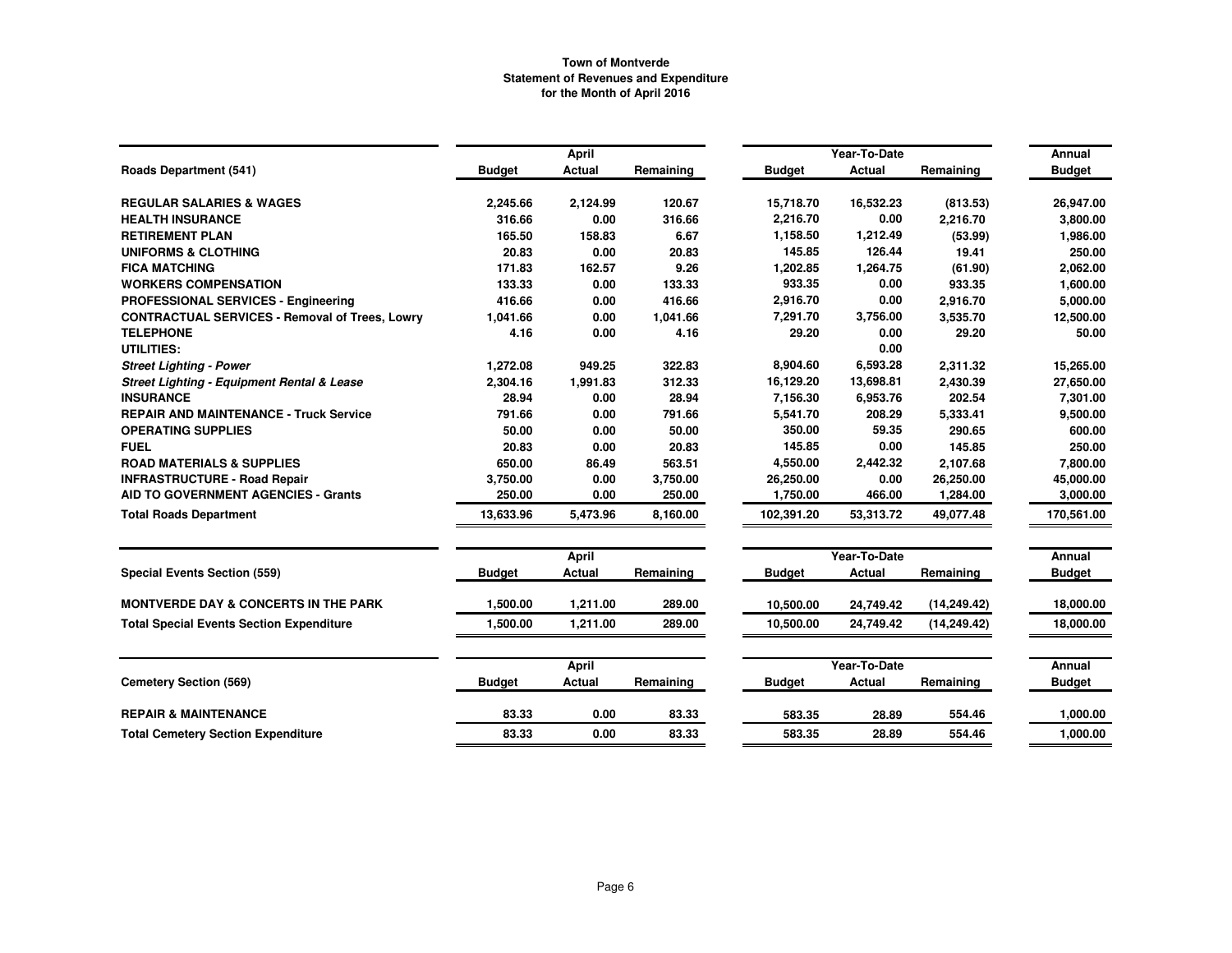|                                                       |               | <b>April</b>  |           |               | Year-To-Date  |              | Annual        |
|-------------------------------------------------------|---------------|---------------|-----------|---------------|---------------|--------------|---------------|
| <b>Roads Department (541)</b>                         | <b>Budget</b> | <b>Actual</b> | Remaining | <b>Budget</b> | <b>Actual</b> | Remaining    | <b>Budget</b> |
| <b>REGULAR SALARIES &amp; WAGES</b>                   | 2,245.66      | 2,124.99      | 120.67    | 15,718.70     | 16,532.23     | (813.53)     | 26,947.00     |
| <b>HEALTH INSURANCE</b>                               | 316.66        | 0.00          | 316.66    | 2,216.70      | 0.00          | 2,216.70     | 3,800.00      |
| <b>RETIREMENT PLAN</b>                                | 165.50        | 158.83        | 6.67      | 1,158.50      | 1,212.49      | (53.99)      | 1,986.00      |
| <b>UNIFORMS &amp; CLOTHING</b>                        | 20.83         | 0.00          | 20.83     | 145.85        | 126.44        | 19.41        | 250.00        |
| <b>FICA MATCHING</b>                                  | 171.83        | 162.57        | 9.26      | 1,202.85      | 1,264.75      | (61.90)      | 2,062.00      |
| <b>WORKERS COMPENSATION</b>                           | 133.33        | 0.00          | 133.33    | 933.35        | 0.00          | 933.35       | 1,600.00      |
| PROFESSIONAL SERVICES - Engineering                   | 416.66        | 0.00          | 416.66    | 2,916.70      | 0.00          | 2,916.70     | 5,000.00      |
| <b>CONTRACTUAL SERVICES - Removal of Trees, Lowry</b> | 1,041.66      | 0.00          | 1,041.66  | 7,291.70      | 3,756.00      | 3,535.70     | 12,500.00     |
| <b>TELEPHONE</b>                                      | 4.16          | 0.00          | 4.16      | 29.20         | 0.00          | 29.20        | 50.00         |
| <b>UTILITIES:</b>                                     |               |               |           |               | 0.00          |              |               |
| <b>Street Lighting - Power</b>                        | 1,272.08      | 949.25        | 322.83    | 8,904.60      | 6,593.28      | 2,311.32     | 15,265.00     |
| <b>Street Lighting - Equipment Rental &amp; Lease</b> | 2,304.16      | 1,991.83      | 312.33    | 16,129.20     | 13,698.81     | 2,430.39     | 27,650.00     |
| <b>INSURANCE</b>                                      | 28.94         | 0.00          | 28.94     | 7,156.30      | 6,953.76      | 202.54       | 7,301.00      |
| <b>REPAIR AND MAINTENANCE - Truck Service</b>         | 791.66        | 0.00          | 791.66    | 5,541.70      | 208.29        | 5,333.41     | 9,500.00      |
| <b>OPERATING SUPPLIES</b>                             | 50.00         | 0.00          | 50.00     | 350.00        | 59.35         | 290.65       | 600.00        |
| <b>FUEL</b>                                           | 20.83         | 0.00          | 20.83     | 145.85        | 0.00          | 145.85       | 250.00        |
| <b>ROAD MATERIALS &amp; SUPPLIES</b>                  | 650.00        | 86.49         | 563.51    | 4,550.00      | 2,442.32      | 2,107.68     | 7,800.00      |
| <b>INFRASTRUCTURE - Road Repair</b>                   | 3,750.00      | 0.00          | 3,750.00  | 26,250.00     | 0.00          | 26,250.00    | 45,000.00     |
| <b>AID TO GOVERNMENT AGENCIES - Grants</b>            | 250.00        | 0.00          | 250.00    | 1,750.00      | 466.00        | 1,284.00     | 3,000.00      |
| <b>Total Roads Department</b>                         | 13.633.96     | 5,473.96      | 8,160.00  | 102.391.20    | 53,313.72     | 49.077.48    | 170,561.00    |
|                                                       |               | <b>April</b>  |           |               | Year-To-Date  |              | Annual        |
| <b>Special Events Section (559)</b>                   | <b>Budget</b> | Actual        | Remaining | <b>Budget</b> | Actual        | Remaining    | <b>Budget</b> |
| <b>MONTVERDE DAY &amp; CONCERTS IN THE PARK</b>       | 1.500.00      | 1,211.00      | 289.00    | 10,500.00     | 24,749.42     | (14, 249.42) | 18,000.00     |
| <b>Total Special Events Section Expenditure</b>       | 1,500.00      | 1,211.00      | 289.00    | 10,500.00     | 24,749.42     | (14, 249.42) | 18,000.00     |
|                                                       |               | April         |           |               | Year-To-Date  |              | Annual        |
| <b>Cemetery Section (569)</b>                         | <b>Budget</b> | <b>Actual</b> | Remaining | <b>Budget</b> | Actual        | Remaining    | <b>Budget</b> |
| <b>REPAIR &amp; MAINTENANCE</b>                       | 83.33         | 0.00          | 83.33     | 583.35        | 28.89         | 554.46       | 1,000.00      |
| <b>Total Cemetery Section Expenditure</b>             | 83.33         | 0.00          | 83.33     | 583.35        | 28.89         | 554.46       | 1,000.00      |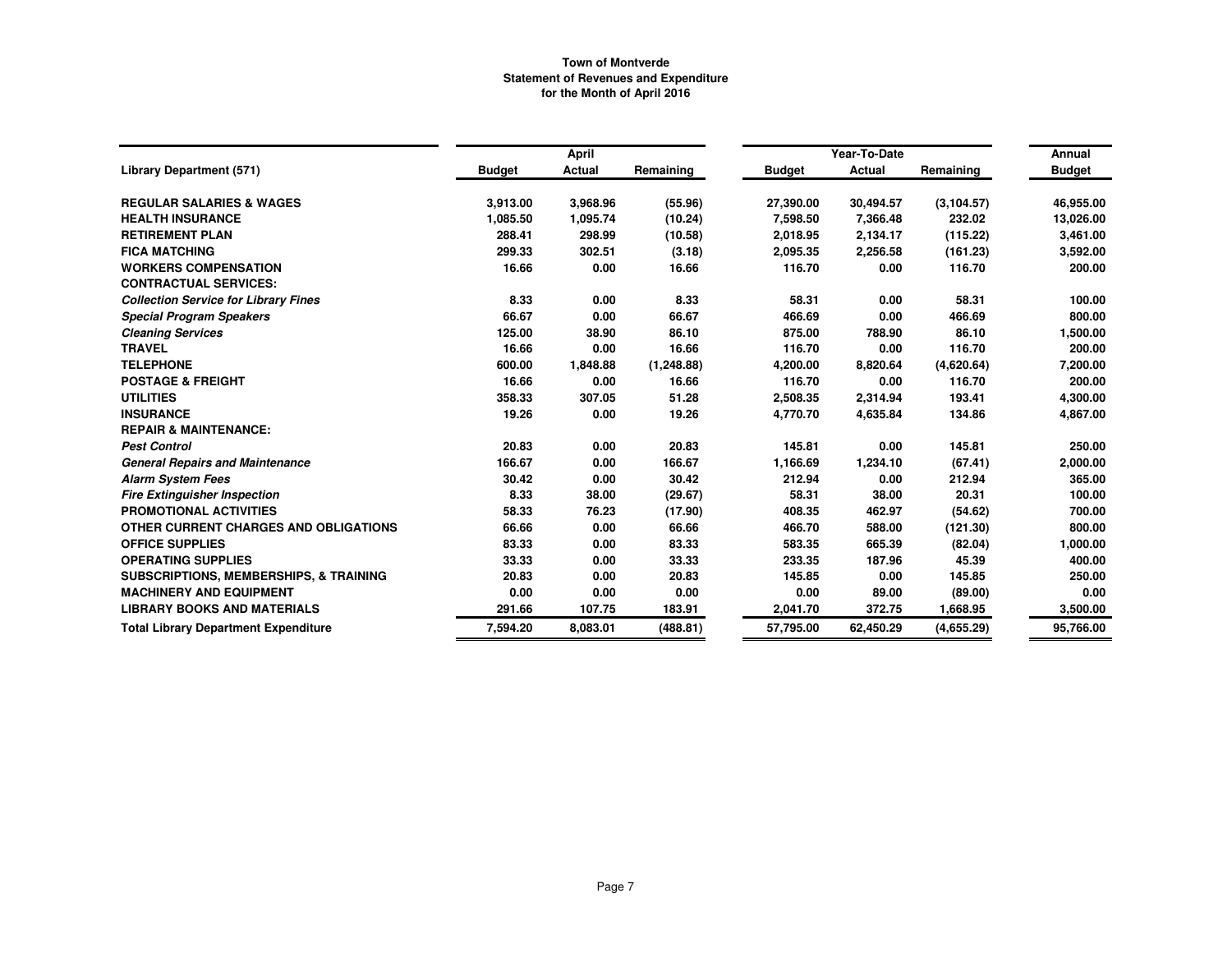|                                                   |               | April         |             |               | Year-To-Date  |             | Annual        |
|---------------------------------------------------|---------------|---------------|-------------|---------------|---------------|-------------|---------------|
| <b>Library Department (571)</b>                   | <b>Budget</b> | <b>Actual</b> | Remaining   | <b>Budget</b> | <b>Actual</b> | Remaining   | <b>Budget</b> |
| <b>REGULAR SALARIES &amp; WAGES</b>               | 3,913.00      | 3,968.96      | (55.96)     | 27,390.00     | 30,494.57     | (3, 104.57) | 46,955.00     |
| <b>HEALTH INSURANCE</b>                           | 1,085.50      | 1,095.74      | (10.24)     | 7,598.50      | 7,366.48      | 232.02      | 13,026.00     |
| <b>RETIREMENT PLAN</b>                            | 288.41        | 298.99        | (10.58)     | 2,018.95      | 2,134.17      | (115.22)    | 3,461.00      |
| <b>FICA MATCHING</b>                              | 299.33        | 302.51        | (3.18)      | 2,095.35      | 2,256.58      | (161.23)    | 3,592.00      |
| <b>WORKERS COMPENSATION</b>                       | 16.66         | 0.00          | 16.66       | 116.70        | 0.00          | 116.70      | 200.00        |
| <b>CONTRACTUAL SERVICES:</b>                      |               |               |             |               |               |             |               |
| <b>Collection Service for Library Fines</b>       | 8.33          | 0.00          | 8.33        | 58.31         | 0.00          | 58.31       | 100.00        |
| <b>Special Program Speakers</b>                   | 66.67         | 0.00          | 66.67       | 466.69        | 0.00          | 466.69      | 800.00        |
| <b>Cleaning Services</b>                          | 125.00        | 38.90         | 86.10       | 875.00        | 788.90        | 86.10       | 1,500.00      |
| <b>TRAVEL</b>                                     | 16.66         | 0.00          | 16.66       | 116.70        | 0.00          | 116.70      | 200.00        |
| <b>TELEPHONE</b>                                  | 600.00        | 1,848.88      | (1, 248.88) | 4,200.00      | 8,820.64      | (4,620.64)  | 7,200.00      |
| <b>POSTAGE &amp; FREIGHT</b>                      | 16.66         | 0.00          | 16.66       | 116.70        | 0.00          | 116.70      | 200.00        |
| <b>UTILITIES</b>                                  | 358.33        | 307.05        | 51.28       | 2,508.35      | 2,314.94      | 193.41      | 4,300.00      |
| <b>INSURANCE</b>                                  | 19.26         | 0.00          | 19.26       | 4,770.70      | 4,635.84      | 134.86      | 4,867.00      |
| <b>REPAIR &amp; MAINTENANCE:</b>                  |               |               |             |               |               |             |               |
| <b>Pest Control</b>                               | 20.83         | 0.00          | 20.83       | 145.81        | 0.00          | 145.81      | 250.00        |
| <b>General Repairs and Maintenance</b>            | 166.67        | 0.00          | 166.67      | 1,166.69      | 1,234.10      | (67.41)     | 2,000.00      |
| <b>Alarm System Fees</b>                          | 30.42         | 0.00          | 30.42       | 212.94        | 0.00          | 212.94      | 365.00        |
| <b>Fire Extinguisher Inspection</b>               | 8.33          | 38.00         | (29.67)     | 58.31         | 38.00         | 20.31       | 100.00        |
| PROMOTIONAL ACTIVITIES                            | 58.33         | 76.23         | (17.90)     | 408.35        | 462.97        | (54.62)     | 700.00        |
| OTHER CURRENT CHARGES AND OBLIGATIONS             | 66.66         | 0.00          | 66.66       | 466.70        | 588.00        | (121.30)    | 800.00        |
| <b>OFFICE SUPPLIES</b>                            | 83.33         | 0.00          | 83.33       | 583.35        | 665.39        | (82.04)     | 1,000.00      |
| <b>OPERATING SUPPLIES</b>                         | 33.33         | 0.00          | 33.33       | 233.35        | 187.96        | 45.39       | 400.00        |
| <b>SUBSCRIPTIONS, MEMBERSHIPS, &amp; TRAINING</b> | 20.83         | 0.00          | 20.83       | 145.85        | 0.00          | 145.85      | 250.00        |
| <b>MACHINERY AND EQUIPMENT</b>                    | 0.00          | 0.00          | 0.00        | 0.00          | 89.00         | (89.00)     | 0.00          |
| <b>LIBRARY BOOKS AND MATERIALS</b>                | 291.66        | 107.75        | 183.91      | 2,041.70      | 372.75        | 1,668.95    | 3,500.00      |
| <b>Total Library Department Expenditure</b>       | 7,594.20      | 8,083.01      | (488.81)    | 57,795.00     | 62,450.29     | (4,655.29)  | 95,766.00     |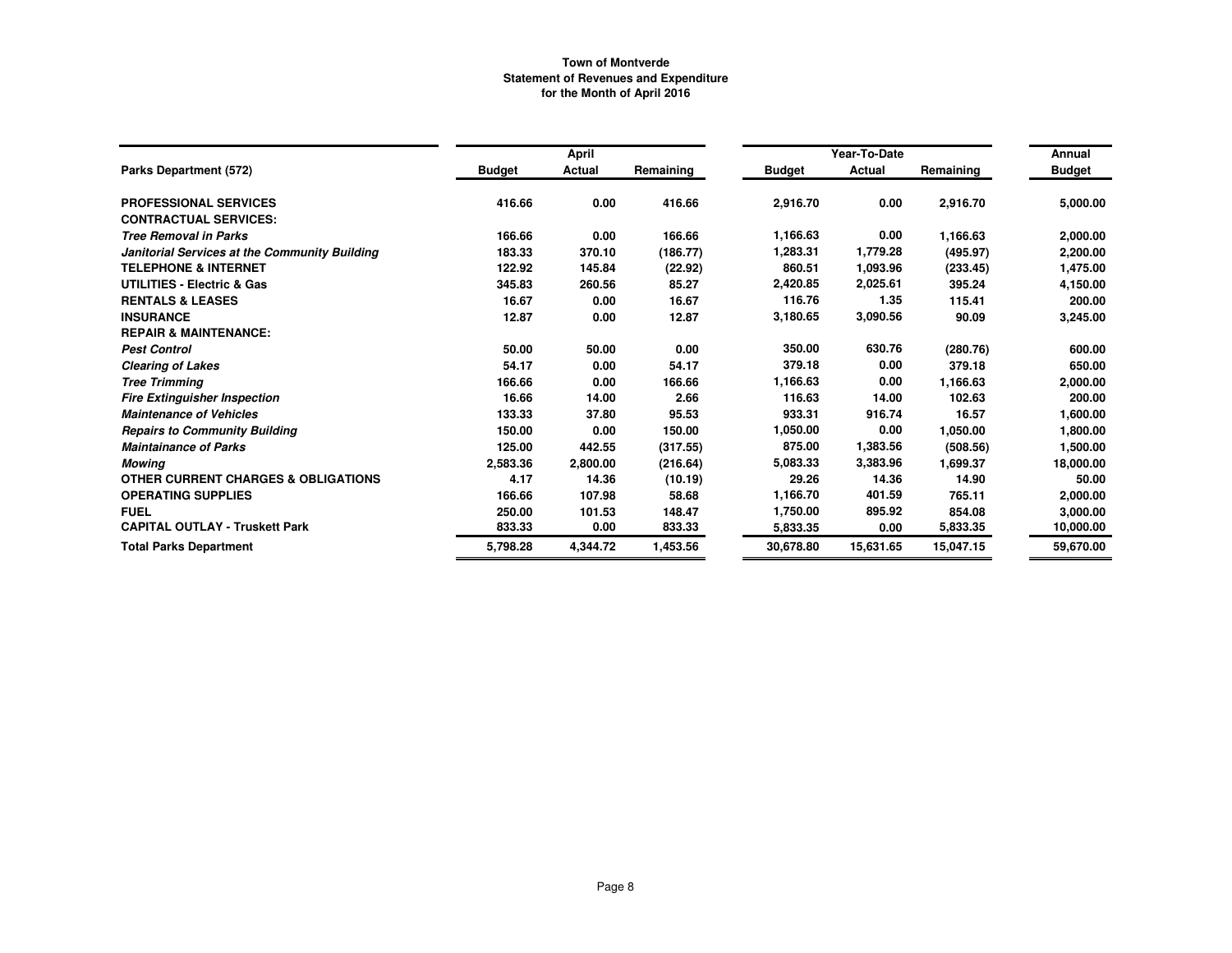|                                                |               | April    |           |               | Year-To-Date |           | Annual        |
|------------------------------------------------|---------------|----------|-----------|---------------|--------------|-----------|---------------|
| Parks Department (572)                         | <b>Budget</b> | Actual   | Remaining | <b>Budget</b> | Actual       | Remaining | <b>Budget</b> |
| <b>PROFESSIONAL SERVICES</b>                   | 416.66        | 0.00     | 416.66    | 2,916.70      | 0.00         | 2,916.70  | 5,000.00      |
| <b>CONTRACTUAL SERVICES:</b>                   |               |          |           |               |              |           |               |
| <b>Tree Removal in Parks</b>                   | 166.66        | 0.00     | 166.66    | 1,166.63      | 0.00         | 1,166.63  | 2,000.00      |
| Janitorial Services at the Community Building  | 183.33        | 370.10   | (186.77)  | 1,283.31      | 1,779.28     | (495.97)  | 2,200.00      |
| <b>TELEPHONE &amp; INTERNET</b>                | 122.92        | 145.84   | (22.92)   | 860.51        | 1,093.96     | (233.45)  | 1,475.00      |
| <b>UTILITIES - Electric &amp; Gas</b>          | 345.83        | 260.56   | 85.27     | 2,420.85      | 2,025.61     | 395.24    | 4,150.00      |
| <b>RENTALS &amp; LEASES</b>                    | 16.67         | 0.00     | 16.67     | 116.76        | 1.35         | 115.41    | 200.00        |
| <b>INSURANCE</b>                               | 12.87         | 0.00     | 12.87     | 3,180.65      | 3,090.56     | 90.09     | 3,245.00      |
| <b>REPAIR &amp; MAINTENANCE:</b>               |               |          |           |               |              |           |               |
| <b>Pest Control</b>                            | 50.00         | 50.00    | 0.00      | 350.00        | 630.76       | (280.76)  | 600.00        |
| <b>Clearing of Lakes</b>                       | 54.17         | 0.00     | 54.17     | 379.18        | 0.00         | 379.18    | 650.00        |
| <b>Tree Trimming</b>                           | 166.66        | 0.00     | 166.66    | 1,166.63      | 0.00         | 1,166.63  | 2,000.00      |
| <b>Fire Extinguisher Inspection</b>            | 16.66         | 14.00    | 2.66      | 116.63        | 14.00        | 102.63    | 200.00        |
| <b>Maintenance of Vehicles</b>                 | 133.33        | 37.80    | 95.53     | 933.31        | 916.74       | 16.57     | 1,600.00      |
| <b>Repairs to Community Building</b>           | 150.00        | 0.00     | 150.00    | 1,050.00      | 0.00         | 1,050.00  | 1,800.00      |
| <b>Maintainance of Parks</b>                   | 125.00        | 442.55   | (317.55)  | 875.00        | 1,383.56     | (508.56)  | 1,500.00      |
| <b>Mowing</b>                                  | 2,583.36      | 2,800.00 | (216.64)  | 5,083.33      | 3,383.96     | 1,699.37  | 18,000.00     |
| <b>OTHER CURRENT CHARGES &amp; OBLIGATIONS</b> | 4.17          | 14.36    | (10.19)   | 29.26         | 14.36        | 14.90     | 50.00         |
| <b>OPERATING SUPPLIES</b>                      | 166.66        | 107.98   | 58.68     | 1,166.70      | 401.59       | 765.11    | 2,000.00      |
| <b>FUEL</b>                                    | 250.00        | 101.53   | 148.47    | 1,750.00      | 895.92       | 854.08    | 3,000.00      |
| <b>CAPITAL OUTLAY - Truskett Park</b>          | 833.33        | 0.00     | 833.33    | 5.833.35      | 0.00         | 5,833.35  | 10,000.00     |
| <b>Total Parks Department</b>                  | 5,798.28      | 4,344.72 | 1,453.56  | 30,678.80     | 15,631.65    | 15,047.15 | 59,670.00     |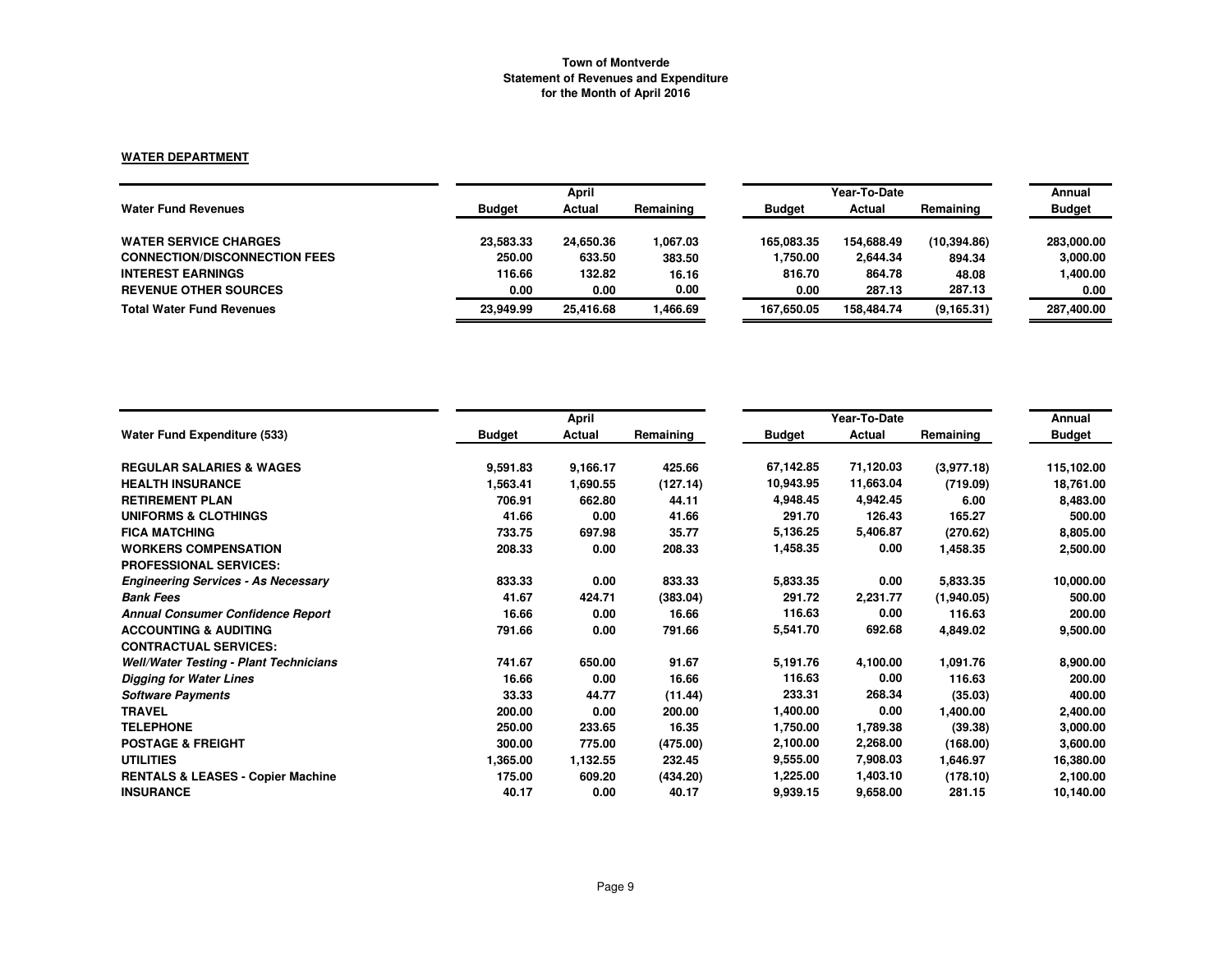### **WATER DEPARTMENT**

|                                      |               | April     |           |               | Year-To-Date |             | Annual        |
|--------------------------------------|---------------|-----------|-----------|---------------|--------------|-------------|---------------|
| <b>Water Fund Revenues</b>           | <b>Budget</b> | Actual    | Remaining | <b>Budget</b> | Actual       | Remaining   | <b>Budget</b> |
| <b>WATER SERVICE CHARGES</b>         | 23,583.33     | 24,650.36 | 1.067.03  | 165.083.35    | 154.688.49   | (10.394.86) | 283,000.00    |
| <b>CONNECTION/DISCONNECTION FEES</b> | 250.00        | 633.50    | 383.50    | 1,750.00      | 2,644.34     | 894.34      | 3,000.00      |
| <b>INTEREST EARNINGS</b>             | 116.66        | 132.82    | 16.16     | 816.70        | 864.78       | 48.08       | 1,400.00      |
| <b>REVENUE OTHER SOURCES</b>         | 0.00          | 0.00      | 0.00      | 0.00          | 287.13       | 287.13      | 0.00          |
| <b>Total Water Fund Revenues</b>     | 23.949.99     | 25.416.68 | .466.69   | 167.650.05    | 158.484.74   | (9, 165.31) | 287,400.00    |

|                                               |               | April    |           |               | Year-To-Date |            | Annual        |
|-----------------------------------------------|---------------|----------|-----------|---------------|--------------|------------|---------------|
| <b>Water Fund Expenditure (533)</b>           | <b>Budget</b> | Actual   | Remaining | <b>Budget</b> | Actual       | Remaining  | <b>Budget</b> |
| <b>REGULAR SALARIES &amp; WAGES</b>           | 9,591.83      | 9,166.17 | 425.66    | 67,142.85     | 71,120.03    | (3,977.18) | 115,102.00    |
| <b>HEALTH INSURANCE</b>                       | 1,563.41      | 1,690.55 | (127.14)  | 10,943.95     | 11,663.04    | (719.09)   | 18,761.00     |
| <b>RETIREMENT PLAN</b>                        | 706.91        | 662.80   | 44.11     | 4,948.45      | 4,942.45     | 6.00       | 8,483.00      |
| <b>UNIFORMS &amp; CLOTHINGS</b>               | 41.66         | 0.00     | 41.66     | 291.70        | 126.43       | 165.27     | 500.00        |
| <b>FICA MATCHING</b>                          | 733.75        | 697.98   | 35.77     | 5,136.25      | 5,406.87     | (270.62)   | 8,805.00      |
| <b>WORKERS COMPENSATION</b>                   | 208.33        | 0.00     | 208.33    | 1,458.35      | 0.00         | 1,458.35   | 2,500.00      |
| <b>PROFESSIONAL SERVICES:</b>                 |               |          |           |               |              |            |               |
| <b>Engineering Services - As Necessary</b>    | 833.33        | 0.00     | 833.33    | 5,833.35      | 0.00         | 5,833.35   | 10,000.00     |
| <b>Bank Fees</b>                              | 41.67         | 424.71   | (383.04)  | 291.72        | 2,231.77     | (1,940.05) | 500.00        |
| <b>Annual Consumer Confidence Report</b>      | 16.66         | 0.00     | 16.66     | 116.63        | 0.00         | 116.63     | 200.00        |
| <b>ACCOUNTING &amp; AUDITING</b>              | 791.66        | 0.00     | 791.66    | 5,541.70      | 692.68       | 4,849.02   | 9,500.00      |
| <b>CONTRACTUAL SERVICES:</b>                  |               |          |           |               |              |            |               |
| <b>Well/Water Testing - Plant Technicians</b> | 741.67        | 650.00   | 91.67     | 5,191.76      | 4,100.00     | 1,091.76   | 8,900.00      |
| <b>Digging for Water Lines</b>                | 16.66         | 0.00     | 16.66     | 116.63        | 0.00         | 116.63     | 200.00        |
| <b>Software Payments</b>                      | 33.33         | 44.77    | (11.44)   | 233.31        | 268.34       | (35.03)    | 400.00        |
| <b>TRAVEL</b>                                 | 200.00        | 0.00     | 200.00    | 1,400.00      | 0.00         | 1,400.00   | 2,400.00      |
| <b>TELEPHONE</b>                              | 250.00        | 233.65   | 16.35     | 1,750.00      | 1,789.38     | (39.38)    | 3,000.00      |
| <b>POSTAGE &amp; FREIGHT</b>                  | 300.00        | 775.00   | (475.00)  | 2,100.00      | 2,268.00     | (168.00)   | 3,600.00      |
| <b>UTILITIES</b>                              | 1,365.00      | 1,132.55 | 232.45    | 9,555.00      | 7,908.03     | 1,646.97   | 16,380.00     |
| <b>RENTALS &amp; LEASES - Copier Machine</b>  | 175.00        | 609.20   | (434.20)  | 1,225.00      | 1,403.10     | (178.10)   | 2,100.00      |
| <b>INSURANCE</b>                              | 40.17         | 0.00     | 40.17     | 9,939.15      | 9,658.00     | 281.15     | 10,140.00     |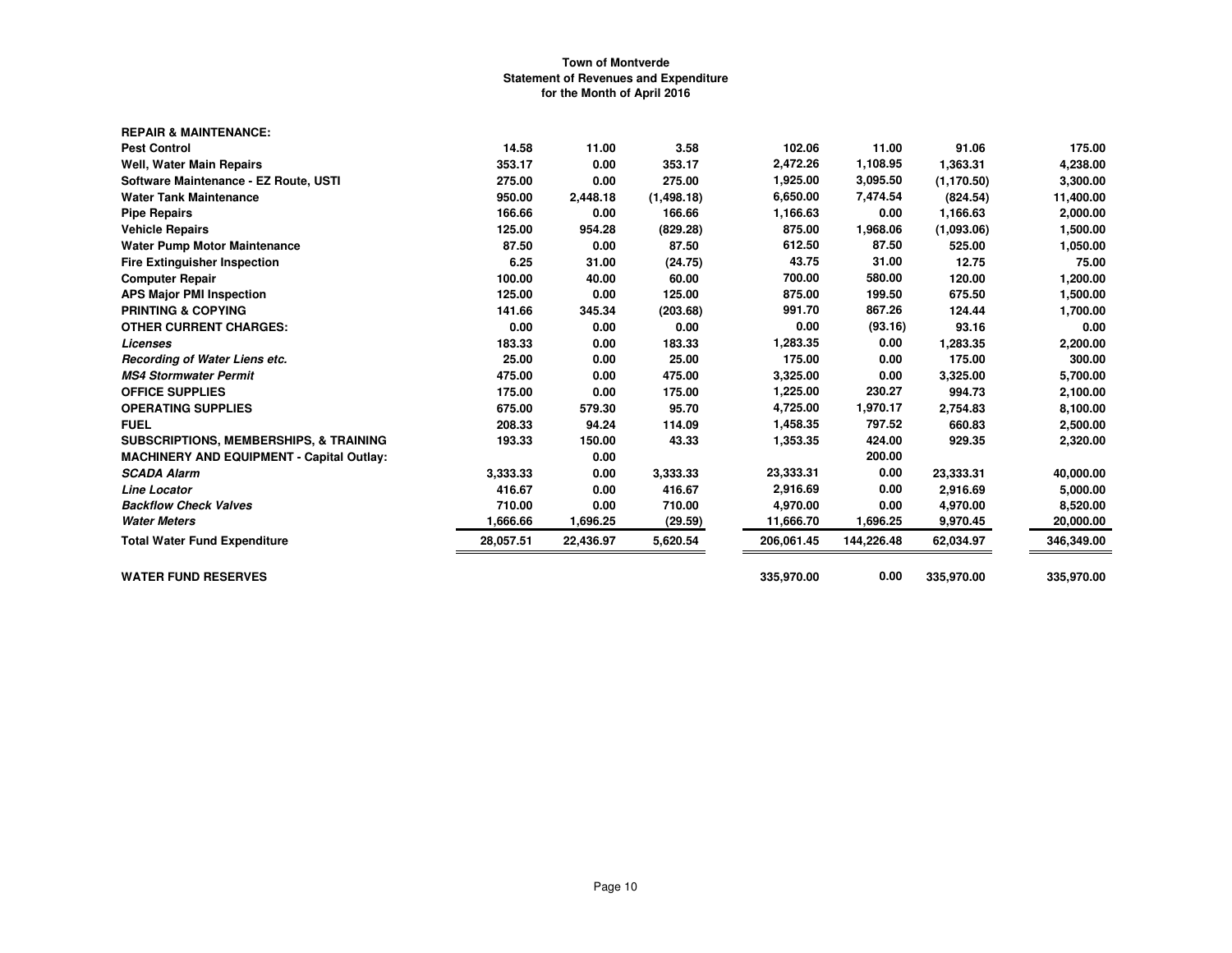| <b>REPAIR &amp; MAINTENANCE:</b>                  |           |           |            |            |            |             |            |
|---------------------------------------------------|-----------|-----------|------------|------------|------------|-------------|------------|
| <b>Pest Control</b>                               | 14.58     | 11.00     | 3.58       | 102.06     | 11.00      | 91.06       | 175.00     |
| <b>Well, Water Main Repairs</b>                   | 353.17    | 0.00      | 353.17     | 2,472.26   | 1,108.95   | 1,363.31    | 4,238.00   |
| Software Maintenance - EZ Route, USTI             | 275.00    | 0.00      | 275.00     | 1,925.00   | 3,095.50   | (1, 170.50) | 3,300.00   |
| <b>Water Tank Maintenance</b>                     | 950.00    | 2,448.18  | (1,498.18) | 6,650.00   | 7,474.54   | (824.54)    | 11,400.00  |
| <b>Pipe Repairs</b>                               | 166.66    | 0.00      | 166.66     | 1,166.63   | 0.00       | 1,166.63    | 2,000.00   |
| <b>Vehicle Repairs</b>                            | 125.00    | 954.28    | (829.28)   | 875.00     | 1,968.06   | (1.093.06)  | 1,500.00   |
| <b>Water Pump Motor Maintenance</b>               | 87.50     | 0.00      | 87.50      | 612.50     | 87.50      | 525.00      | 1,050.00   |
| <b>Fire Extinguisher Inspection</b>               | 6.25      | 31.00     | (24.75)    | 43.75      | 31.00      | 12.75       | 75.00      |
| <b>Computer Repair</b>                            | 100.00    | 40.00     | 60.00      | 700.00     | 580.00     | 120.00      | 1,200.00   |
| <b>APS Major PMI Inspection</b>                   | 125.00    | 0.00      | 125.00     | 875.00     | 199.50     | 675.50      | 1,500.00   |
| <b>PRINTING &amp; COPYING</b>                     | 141.66    | 345.34    | (203.68)   | 991.70     | 867.26     | 124.44      | 1,700.00   |
| <b>OTHER CURRENT CHARGES:</b>                     | 0.00      | 0.00      | 0.00       | 0.00       | (93.16)    | 93.16       | 0.00       |
| Licenses                                          | 183.33    | 0.00      | 183.33     | 1,283.35   | 0.00       | 1,283.35    | 2,200.00   |
| Recording of Water Liens etc.                     | 25.00     | 0.00      | 25.00      | 175.00     | 0.00       | 175.00      | 300.00     |
| <b>MS4 Stormwater Permit</b>                      | 475.00    | 0.00      | 475.00     | 3,325.00   | 0.00       | 3,325.00    | 5,700.00   |
| <b>OFFICE SUPPLIES</b>                            | 175.00    | 0.00      | 175.00     | 1,225.00   | 230.27     | 994.73      | 2,100.00   |
| <b>OPERATING SUPPLIES</b>                         | 675.00    | 579.30    | 95.70      | 4,725.00   | 1,970.17   | 2,754.83    | 8,100.00   |
| <b>FUEL</b>                                       | 208.33    | 94.24     | 114.09     | 1,458.35   | 797.52     | 660.83      | 2,500.00   |
| <b>SUBSCRIPTIONS, MEMBERSHIPS, &amp; TRAINING</b> | 193.33    | 150.00    | 43.33      | 1,353.35   | 424.00     | 929.35      | 2,320.00   |
| <b>MACHINERY AND EQUIPMENT - Capital Outlay:</b>  |           | 0.00      |            |            | 200.00     |             |            |
| <b>SCADA Alarm</b>                                | 3.333.33  | 0.00      | 3,333.33   | 23,333.31  | 0.00       | 23,333.31   | 40,000.00  |
| <b>Line Locator</b>                               | 416.67    | 0.00      | 416.67     | 2,916.69   | 0.00       | 2,916.69    | 5,000.00   |
| <b>Backflow Check Valves</b>                      | 710.00    | 0.00      | 710.00     | 4,970.00   | 0.00       | 4,970.00    | 8,520.00   |
| <b>Water Meters</b>                               | 1,666.66  | 1,696.25  | (29.59)    | 11,666.70  | 1,696.25   | 9,970.45    | 20,000.00  |
| <b>Total Water Fund Expenditure</b>               | 28,057.51 | 22,436.97 | 5,620.54   | 206,061.45 | 144,226.48 | 62,034.97   | 346,349.00 |
| <b>WATER FUND RESERVES</b>                        |           |           |            | 335,970.00 | 0.00       | 335,970.00  | 335,970.00 |
|                                                   |           |           |            |            |            |             |            |